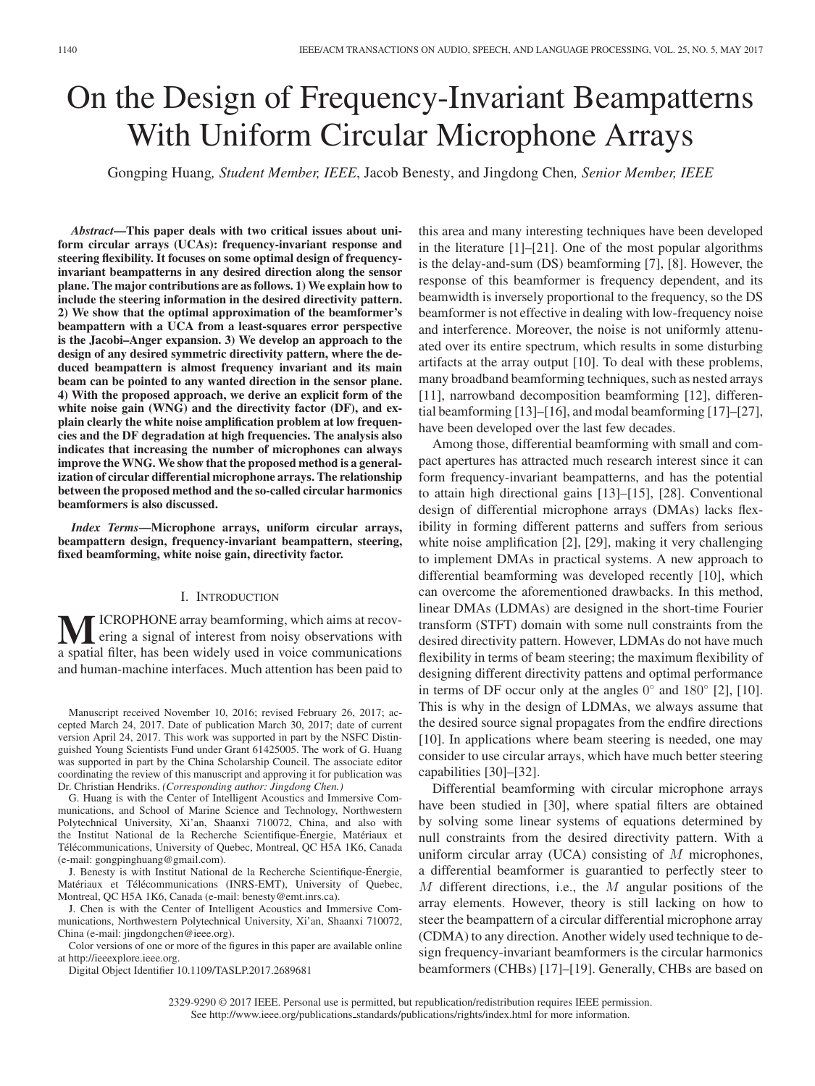# On the Design of Frequency-Invariant Beampatterns With Uniform Circular Microphone Arrays

Gongping Huang*, Student Member, IEEE*, Jacob Benesty, and Jingdong Chen*, Senior Member, IEEE*

*Abstract***—This paper deals with two critical issues about uniform circular arrays (UCAs): frequency-invariant response and steering flexibility. It focuses on some optimal design of frequencyinvariant beampatterns in any desired direction along the sensor plane. The major contributions are as follows. 1) We explain how to include the steering information in the desired directivity pattern. 2) We show that the optimal approximation of the beamformer's beampattern with a UCA from a least-squares error perspective is the Jacobi–Anger expansion. 3) We develop an approach to the design of any desired symmetric directivity pattern, where the deduced beampattern is almost frequency invariant and its main beam can be pointed to any wanted direction in the sensor plane. 4) With the proposed approach, we derive an explicit form of the white noise gain (WNG) and the directivity factor (DF), and explain clearly the white noise amplification problem at low frequencies and the DF degradation at high frequencies. The analysis also indicates that increasing the number of microphones can always improve the WNG. We show that the proposed method is a generalization of circular differential microphone arrays. The relationship between the proposed method and the so-called circular harmonics beamformers is also discussed.**

*Index Terms***—Microphone arrays, uniform circular arrays, beampattern design, frequency-invariant beampattern, steering, fixed beamforming, white noise gain, directivity factor.**

## I. INTRODUCTION

**M**ICROPHONE array beamforming, which aims at recovering a signal of interest from noisy observations with a spatial filter, has been widely used in voice communications and human-machine interfaces. Much attention has been paid to

Manuscript received November 10, 2016; revised February 26, 2017; accepted March 24, 2017. Date of publication March 30, 2017; date of current version April 24, 2017. This work was supported in part by the NSFC Distinguished Young Scientists Fund under Grant 61425005. The work of G. Huang was supported in part by the China Scholarship Council. The associate editor coordinating the review of this manuscript and approving it for publication was Dr. Christian Hendriks. *(Corresponding author: Jingdong Chen.)*

G. Huang is with the Center of Intelligent Acoustics and Immersive Communications, and School of Marine Science and Technology, Northwestern Polytechnical University, Xi'an, Shaanxi 710072, China, and also with the Institut National de la Recherche Scientifique-Énergie, Matériaux et Télécommunications, University of Quebec, Montreal, QC H5A 1K6, Canada (e-mail: gongpinghuang@gmail.com).

J. Benesty is with Institut National de la Recherche Scientifique-Energie, ´ Matériaux et Télécommunications (INRS-EMT), University of Quebec, Montreal, QC H5A 1K6, Canada (e-mail: benesty@emt.inrs.ca).

J. Chen is with the Center of Intelligent Acoustics and Immersive Communications, Northwestern Polytechnical University, Xi'an, Shaanxi 710072, China (e-mail: jingdongchen@ieee.org).

Color versions of one or more of the figures in this paper are available online at http://ieeexplore.ieee.org.

Digital Object Identifier 10.1109/TASLP.2017.2689681

this area and many interesting techniques have been developed in the literature [1]–[21]. One of the most popular algorithms is the delay-and-sum (DS) beamforming [7], [8]. However, the response of this beamformer is frequency dependent, and its beamwidth is inversely proportional to the frequency, so the DS beamformer is not effective in dealing with low-frequency noise and interference. Moreover, the noise is not uniformly attenuated over its entire spectrum, which results in some disturbing artifacts at the array output [10]. To deal with these problems, many broadband beamforming techniques, such as nested arrays [11], narrowband decomposition beamforming [12], differential beamforming [13]–[16], and modal beamforming [17]–[27], have been developed over the last few decades.

Among those, differential beamforming with small and compact apertures has attracted much research interest since it can form frequency-invariant beampatterns, and has the potential to attain high directional gains [13]–[15], [28]. Conventional design of differential microphone arrays (DMAs) lacks flexibility in forming different patterns and suffers from serious white noise amplification [2], [29], making it very challenging to implement DMAs in practical systems. A new approach to differential beamforming was developed recently [10], which can overcome the aforementioned drawbacks. In this method, linear DMAs (LDMAs) are designed in the short-time Fourier transform (STFT) domain with some null constraints from the desired directivity pattern. However, LDMAs do not have much flexibility in terms of beam steering; the maximum flexibility of designing different directivity pattens and optimal performance in terms of DF occur only at the angles  $0°$  and  $180°$  [2], [10]. This is why in the design of LDMAs, we always assume that the desired source signal propagates from the endfire directions [10]. In applications where beam steering is needed, one may consider to use circular arrays, which have much better steering capabilities [30]–[32].

Differential beamforming with circular microphone arrays have been studied in [30], where spatial filters are obtained by solving some linear systems of equations determined by null constraints from the desired directivity pattern. With a uniform circular array (UCA) consisting of M microphones, a differential beamformer is guarantied to perfectly steer to  $M$  different directions, i.e., the  $M$  angular positions of the array elements. However, theory is still lacking on how to steer the beampattern of a circular differential microphone array (CDMA) to any direction. Another widely used technique to design frequency-invariant beamformers is the circular harmonics beamformers (CHBs) [17]–[19]. Generally, CHBs are based on

2329-9290 © 2017 IEEE. Personal use is permitted, but republication/redistribution requires IEEE permission. See http://www.ieee.org/publications standards/publications/rights/index.html for more information.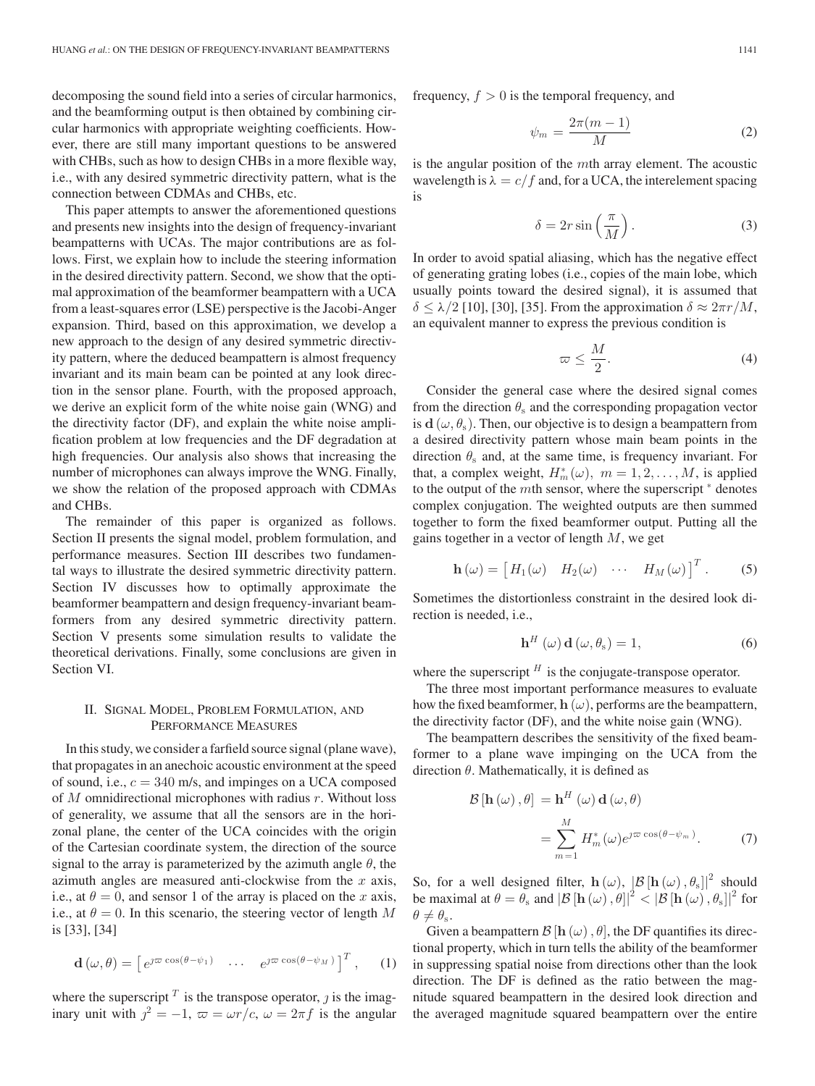decomposing the sound field into a series of circular harmonics, and the beamforming output is then obtained by combining circular harmonics with appropriate weighting coefficients. However, there are still many important questions to be answered with CHBs, such as how to design CHBs in a more flexible way, i.e., with any desired symmetric directivity pattern, what is the connection between CDMAs and CHBs, etc.

This paper attempts to answer the aforementioned questions and presents new insights into the design of frequency-invariant beampatterns with UCAs. The major contributions are as follows. First, we explain how to include the steering information in the desired directivity pattern. Second, we show that the optimal approximation of the beamformer beampattern with a UCA from a least-squares error (LSE) perspective is the Jacobi-Anger expansion. Third, based on this approximation, we develop a new approach to the design of any desired symmetric directivity pattern, where the deduced beampattern is almost frequency invariant and its main beam can be pointed at any look direction in the sensor plane. Fourth, with the proposed approach, we derive an explicit form of the white noise gain (WNG) and the directivity factor (DF), and explain the white noise amplification problem at low frequencies and the DF degradation at high frequencies. Our analysis also shows that increasing the number of microphones can always improve the WNG. Finally, we show the relation of the proposed approach with CDMAs and CHBs.

The remainder of this paper is organized as follows. Section II presents the signal model, problem formulation, and performance measures. Section III describes two fundamental ways to illustrate the desired symmetric directivity pattern. Section IV discusses how to optimally approximate the beamformer beampattern and design frequency-invariant beamformers from any desired symmetric directivity pattern. Section V presents some simulation results to validate the theoretical derivations. Finally, some conclusions are given in Section VI.

# II. SIGNAL MODEL, PROBLEM FORMULATION, AND PERFORMANCE MEASURES

In this study, we consider a farfield source signal (plane wave), that propagates in an anechoic acoustic environment at the speed of sound, i.e.,  $c = 340$  m/s, and impinges on a UCA composed of  $M$  omnidirectional microphones with radius  $r$ . Without loss of generality, we assume that all the sensors are in the horizonal plane, the center of the UCA coincides with the origin of the Cartesian coordinate system, the direction of the source signal to the array is parameterized by the azimuth angle  $\theta$ , the azimuth angles are measured anti-clockwise from the  $x$  axis, i.e., at  $\theta = 0$ , and sensor 1 of the array is placed on the x axis, i.e., at  $\theta = 0$ . In this scenario, the steering vector of length M is [33], [34]

$$
\mathbf{d}\left(\omega,\theta\right) = \begin{bmatrix} e^{\jmath\varpi\cos\left(\theta-\psi_1\right)} & \cdots & e^{\jmath\varpi\cos\left(\theta-\psi_M\right)} \end{bmatrix}^T, \quad (1)
$$

where the superscript  $<sup>T</sup>$  is the transpose operator,  $\jmath$  is the imag-</sup> inary unit with  $j^2 = -1$ ,  $\varpi = \omega r/c$ ,  $\omega = 2\pi f$  is the angular frequency,  $f > 0$  is the temporal frequency, and

$$
\psi_m = \frac{2\pi(m-1)}{M} \tag{2}
$$

is the angular position of the mth array element. The acoustic wavelength is  $\lambda = c/f$  and, for a UCA, the interelement spacing is

$$
\delta = 2r \sin\left(\frac{\pi}{M}\right). \tag{3}
$$

In order to avoid spatial aliasing, which has the negative effect of generating grating lobes (i.e., copies of the main lobe, which usually points toward the desired signal), it is assumed that  $\delta \leq \lambda/2$  [10], [30], [35]. From the approximation  $\delta \approx 2\pi r/M$ , an equivalent manner to express the previous condition is

$$
\varpi \le \frac{M}{2}.\tag{4}
$$

Consider the general case where the desired signal comes from the direction  $\theta_s$  and the corresponding propagation vector is  $\mathbf{d}(\omega, \theta_s)$ . Then, our objective is to design a beampattern from a desired directivity pattern whose main beam points in the direction  $\theta_s$  and, at the same time, is frequency invariant. For that, a complex weight,  $H_m^*(\omega)$ ,  $m = 1, 2, ..., M$ , is applied to the output of the mth sensor, where the superscript <sup>∗</sup> denotes complex conjugation. The weighted outputs are then summed together to form the fixed beamformer output. Putting all the gains together in a vector of length  $M$ , we get

$$
\mathbf{h}(\omega) = \begin{bmatrix} H_1(\omega) & H_2(\omega) & \cdots & H_M(\omega) \end{bmatrix}^T.
$$
 (5)

Sometimes the distortionless constraint in the desired look direction is needed, i.e.,

$$
\mathbf{h}^{H}(\omega)\,\mathbf{d}(\omega,\theta_{\mathrm{s}})=1,\tag{6}
$$

where the superscript  $^H$  is the conjugate-transpose operator.

The three most important performance measures to evaluate how the fixed beamformer,  $h(\omega)$ , performs are the beampattern, the directivity factor (DF), and the white noise gain (WNG).

The beampattern describes the sensitivity of the fixed beamformer to a plane wave impinging on the UCA from the direction  $\theta$ . Mathematically, it is defined as

$$
\mathcal{B}[\mathbf{h}(\omega), \theta] = \mathbf{h}^{H}(\omega) \mathbf{d}(\omega, \theta)
$$

$$
= \sum_{m=1}^{M} H_{m}^{*}(\omega) e^{j\omega \cos(\theta - \psi_{m})}.
$$
(7)

So, for a well designed filter,  $h(\omega)$ ,  $|\mathcal{B}[\mathbf{h}(\omega), \theta_{\rm s}]|^2$  should be maximal at  $\theta = \theta_s$  and  $|\mathcal{B}[\mathbf{h}(\omega), \theta]|^2 < |\mathcal{B}[\mathbf{h}(\omega), \theta_s]|^2$  for  $\theta \neq \theta_{\rm e}$ .

Given a beampattern  $\mathcal{B}$  [**h**  $(\omega)$ ,  $\theta$ ], the DF quantifies its directional property, which in turn tells the ability of the beamformer in suppressing spatial noise from directions other than the look direction. The DF is defined as the ratio between the magnitude squared beampattern in the desired look direction and the averaged magnitude squared beampattern over the entire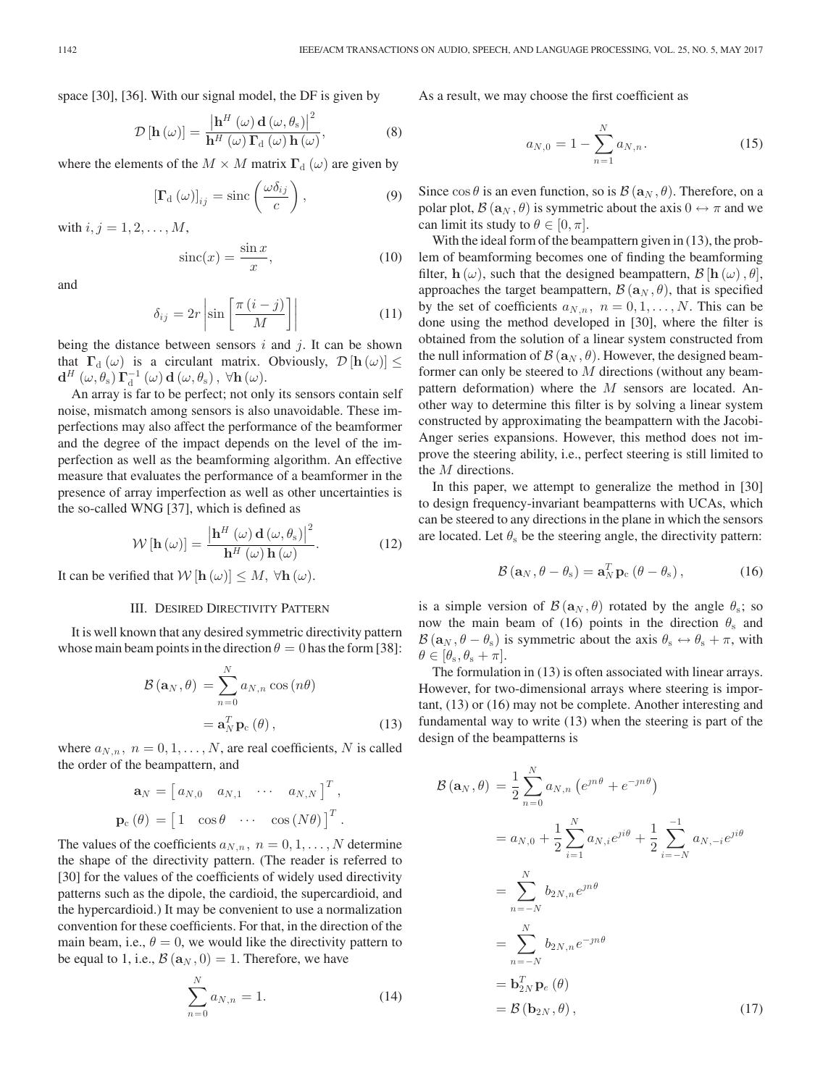space [30], [36]. With our signal model, the DF is given by

$$
\mathcal{D}\left[\mathbf{h}\left(\omega\right)\right] = \frac{\left|\mathbf{h}^{H}\left(\omega\right)\mathbf{d}\left(\omega,\theta_{\mathrm{s}}\right)\right|^{2}}{\mathbf{h}^{H}\left(\omega\right)\mathbf{\Gamma}_{\mathrm{d}}\left(\omega\right)\mathbf{h}\left(\omega\right)},\tag{8}
$$

where the elements of the  $M \times M$  matrix  $\Gamma_d(\omega)$  are given by

$$
\left[\mathbf{\Gamma}_{\mathrm{d}}\left(\omega\right)\right]_{ij} = \mathrm{sinc}\left(\frac{\omega\delta_{ij}}{c}\right),\tag{9}
$$

with  $i, j = 1, 2, \ldots, M$ ,

$$
\text{sinc}(x) = \frac{\sin x}{x},\tag{10}
$$

and

$$
\delta_{ij} = 2r \left| \sin \left[ \frac{\pi (i - j)}{M} \right] \right| \tag{11}
$$

being the distance between sensors  $i$  and  $j$ . It can be shown that  $\Gamma_{\rm d}(\omega)$  is a circulant matrix. Obviously,  $\mathcal{D}[\mathbf{h}(\omega)] \leq$  $\mathbf{d}^{H}\left(\omega,\theta_{\mathrm{s}}\right)\mathbf{\Gamma}_{\mathrm{d}}^{-1}\left(\omega\right)\mathbf{d}\left(\omega,\theta_{\mathrm{s}}\right),\ \forall\mathbf{h}\left(\omega\right).$ 

An array is far to be perfect; not only its sensors contain self noise, mismatch among sensors is also unavoidable. These imperfections may also affect the performance of the beamformer and the degree of the impact depends on the level of the imperfection as well as the beamforming algorithm. An effective measure that evaluates the performance of a beamformer in the presence of array imperfection as well as other uncertainties is the so-called WNG [37], which is defined as

$$
\mathcal{W}\left[\mathbf{h}\left(\omega\right)\right] = \frac{\left|\mathbf{h}^{H}\left(\omega\right)\mathbf{d}\left(\omega,\theta_{\mathrm{s}}\right)\right|^{2}}{\mathbf{h}^{H}\left(\omega\right)\mathbf{h}\left(\omega\right)}.\tag{12}
$$

It can be verified that  $W$  [**h**  $(\omega)$ ]  $\leq M$ ,  $\forall$ **h**  $(\omega)$ .

## III. DESIRED DIRECTIVITY PATTERN

It is well known that any desired symmetric directivity pattern whose main beam points in the direction  $\theta = 0$  has the form [38]:

$$
\mathcal{B}(\mathbf{a}_N, \theta) = \sum_{n=0}^{N} a_{N,n} \cos(n\theta)
$$

$$
= \mathbf{a}_N^T \mathbf{p}_c(\theta), \qquad (13)
$$

where  $a_{N,n}$ ,  $n = 0, 1, ..., N$ , are real coefficients, N is called the order of the beampattern, and

$$
\mathbf{a}_{N} = \begin{bmatrix} a_{N,0} & a_{N,1} & \cdots & a_{N,N} \end{bmatrix}^{T},
$$

$$
\mathbf{p}_{c}(\theta) = \begin{bmatrix} 1 & \cos \theta & \cdots & \cos (N\theta) \end{bmatrix}^{T}.
$$

The values of the coefficients  $a_{N,n}$ ,  $n = 0, 1, \ldots, N$  determine the shape of the directivity pattern. (The reader is referred to [30] for the values of the coefficients of widely used directivity patterns such as the dipole, the cardioid, the supercardioid, and the hypercardioid.) It may be convenient to use a normalization convention for these coefficients. For that, in the direction of the main beam, i.e.,  $\theta = 0$ , we would like the directivity pattern to be equal to 1, i.e.,  $\mathcal{B}(\mathbf{a}_N, 0) = 1$ . Therefore, we have

$$
\sum_{n=0}^{N} a_{N,n} = 1.
$$
\n(14)

As a result, we may choose the first coefficient as

$$
a_{N,0} = 1 - \sum_{n=1}^{N} a_{N,n}.
$$
 (15)

Since  $\cos \theta$  is an even function, so is  $\mathcal{B}(\mathbf{a}_N, \theta)$ . Therefore, on a polar plot,  $\mathcal{B}(\mathbf{a}_N, \theta)$  is symmetric about the axis  $0 \leftrightarrow \pi$  and we can limit its study to  $\theta \in [0, \pi]$ .

With the ideal form of the beampattern given in (13), the problem of beamforming becomes one of finding the beamforming filter,  $h(\omega)$ , such that the designed beampattern,  $\mathcal{B}[\mathbf{h}(\omega), \theta]$ , approaches the target beampattern,  $\mathcal{B}(\mathbf{a}_N, \theta)$ , that is specified by the set of coefficients  $a_{N,n}$ ,  $n = 0, 1, \ldots, N$ . This can be done using the method developed in [30], where the filter is obtained from the solution of a linear system constructed from the null information of  $\mathcal{B}(\mathbf{a}_N, \theta)$ . However, the designed beamformer can only be steered to M directions (without any beampattern deformation) where the M sensors are located. Another way to determine this filter is by solving a linear system constructed by approximating the beampattern with the Jacobi-Anger series expansions. However, this method does not improve the steering ability, i.e., perfect steering is still limited to the M directions.

In this paper, we attempt to generalize the method in [30] to design frequency-invariant beampatterns with UCAs, which can be steered to any directions in the plane in which the sensors are located. Let  $\theta_s$  be the steering angle, the directivity pattern:

$$
\mathcal{B}\left(\mathbf{a}_{N}, \theta - \theta_{s}\right) = \mathbf{a}_{N}^{T} \mathbf{p}_{c} \left(\theta - \theta_{s}\right), \tag{16}
$$

is a simple version of  $\mathcal{B}(\mathbf{a}_N, \theta)$  rotated by the angle  $\theta_s$ ; so now the main beam of (16) points in the direction  $\theta_s$  and  $\mathcal{B}(\mathbf{a}_N, \theta - \theta_s)$  is symmetric about the axis  $\theta_s \leftrightarrow \theta_s + \pi$ , with  $\theta \in [\theta_{\rm s}, \theta_{\rm s} + \pi]$ .

The formulation in (13) is often associated with linear arrays. However, for two-dimensional arrays where steering is important, (13) or (16) may not be complete. Another interesting and fundamental way to write (13) when the steering is part of the design of the beampatterns is

$$
\mathcal{B}(\mathbf{a}_{N}, \theta) = \frac{1}{2} \sum_{n=0}^{N} a_{N,n} \left( e^{jn\theta} + e^{-jn\theta} \right)
$$
  
\n
$$
= a_{N,0} + \frac{1}{2} \sum_{i=1}^{N} a_{N,i} e^{ji\theta} + \frac{1}{2} \sum_{i=-N}^{-1} a_{N,-i} e^{ji\theta}
$$
  
\n
$$
= \sum_{n=-N}^{N} b_{2N,n} e^{jn\theta}
$$
  
\n
$$
= \sum_{n=-N}^{N} b_{2N,n} e^{-jn\theta}
$$
  
\n
$$
= \mathbf{b}_{2N}^{T} \mathbf{p}_{e}(\theta)
$$
  
\n
$$
= \mathcal{B}(\mathbf{b}_{2N}, \theta), \qquad (17)
$$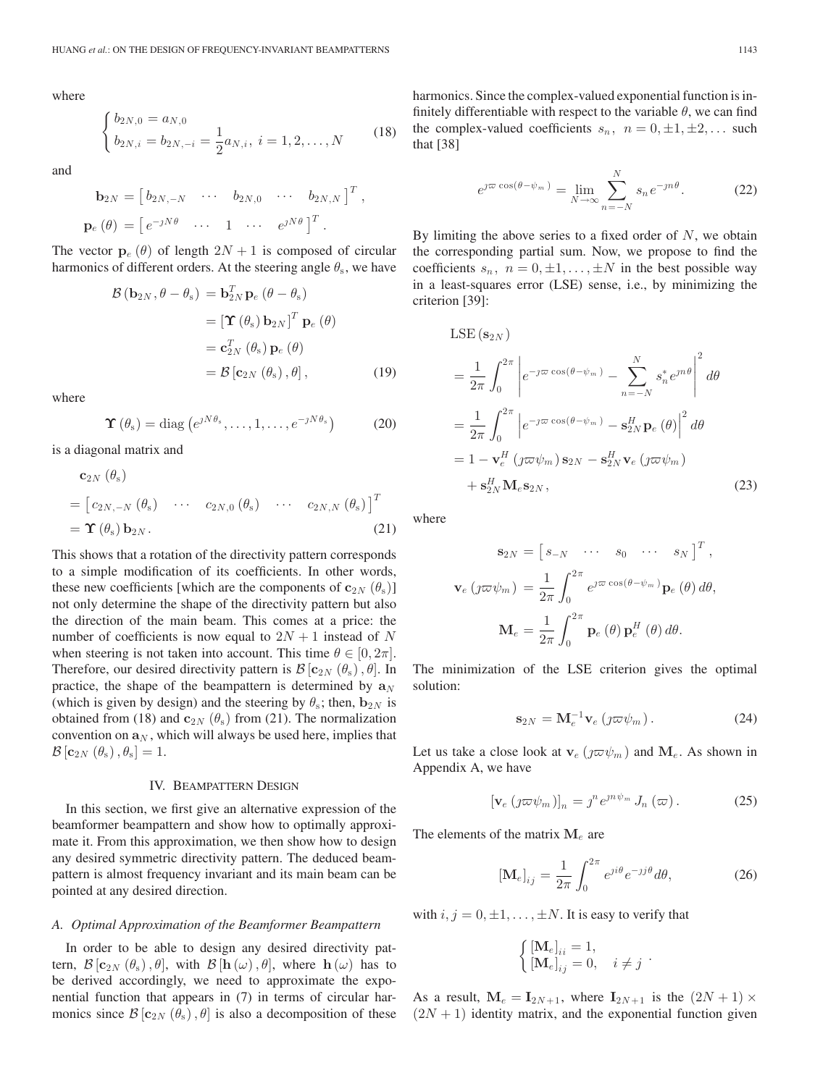where

$$
\begin{cases} b_{2N,0} = a_{N,0} \\ b_{2N,i} = b_{2N,-i} = \frac{1}{2} a_{N,i}, i = 1,2,\dots,N \end{cases}
$$
 (18)

and

$$
\mathbf{b}_{2N} = \begin{bmatrix} b_{2N,-N} & \cdots & b_{2N,0} & \cdots & b_{2N,N} \end{bmatrix}^T,
$$
  

$$
\mathbf{p}_e(\theta) = \begin{bmatrix} e^{-jN\theta} & \cdots & 1 & \cdots & e^{jN\theta} \end{bmatrix}^T.
$$

The vector  $\mathbf{p}_e(\theta)$  of length  $2N + 1$  is composed of circular harmonics of different orders. At the steering angle  $\theta_s$ , we have

$$
\mathcal{B}(\mathbf{b}_{2N}, \theta - \theta_{s}) = \mathbf{b}_{2N}^{T} \mathbf{p}_{e} (\theta - \theta_{s})
$$

$$
= [\mathbf{\Upsilon} (\theta_{s}) \mathbf{b}_{2N}]^{T} \mathbf{p}_{e} (\theta)
$$

$$
= \mathbf{c}_{2N}^{T} (\theta_{s}) \mathbf{p}_{e} (\theta)
$$

$$
= \mathcal{B} [\mathbf{c}_{2N} (\theta_{s}), \theta], \qquad (19)
$$

where

$$
\mathbf{\hat{T}}\left(\theta_{\mathrm{s}}\right) = \mathrm{diag}\left(e^{\jmath N \theta_{\mathrm{s}}}, \dots, 1, \dots, e^{-\jmath N \theta_{\mathrm{s}}}\right) \tag{20}
$$

is a diagonal matrix and

$$
\begin{aligned} \mathbf{c}_{2N} \left( \theta_{s} \right) \\ &= \begin{bmatrix} c_{2N,-N} \left( \theta_{s} \right) & \cdots & c_{2N,0} \left( \theta_{s} \right) & \cdots & c_{2N,N} \left( \theta_{s} \right) \end{bmatrix}^{T} \\ &= \mathbf{\Upsilon} \left( \theta_{s} \right) \mathbf{b}_{2N}. \end{aligned} \tag{21}
$$

This shows that a rotation of the directivity pattern corresponds to a simple modification of its coefficients. In other words, these new coefficients [which are the components of  $\mathbf{c}_{2N}(\theta_{s})$ ] not only determine the shape of the directivity pattern but also the direction of the main beam. This comes at a price: the number of coefficients is now equal to  $2N + 1$  instead of N when steering is not taken into account. This time  $\theta \in [0, 2\pi]$ . Therefore, our desired directivity pattern is  $\mathcal{B}[\mathbf{c}_{2N}(\theta_{s}), \theta]$ . In practice, the shape of the beampattern is determined by  $\mathbf{a}_N$ (which is given by design) and the steering by  $\theta_s$ ; then,  $\mathbf{b}_{2N}$  is obtained from (18) and  $\mathbf{c}_{2N}$  ( $\theta_s$ ) from (21). The normalization convention on  $\mathbf{a}_N$ , which will always be used here, implies that  $\mathcal{B}[\mathbf{c}_{2N}(\theta_{\mathrm{s}}), \theta_{\mathrm{s}}]=1.$ 

#### IV. BEAMPATTERN DESIGN

In this section, we first give an alternative expression of the beamformer beampattern and show how to optimally approximate it. From this approximation, we then show how to design any desired symmetric directivity pattern. The deduced beampattern is almost frequency invariant and its main beam can be pointed at any desired direction.

#### *A. Optimal Approximation of the Beamformer Beampattern*

In order to be able to design any desired directivity pattern,  $\mathcal{B}[\mathbf{c}_{2N}(\theta_{s}), \theta]$ , with  $\mathcal{B}[\mathbf{h}(\omega), \theta]$ , where  $\mathbf{h}(\omega)$  has to be derived accordingly, we need to approximate the exponential function that appears in (7) in terms of circular harmonics since  $\mathcal{B}[\mathbf{c}_{2N}(\theta_{s}), \theta]$  is also a decomposition of these harmonics. Since the complex-valued exponential function is infinitely differentiable with respect to the variable  $\theta$ , we can find the complex-valued coefficients  $s_n$ ,  $n = 0, \pm 1, \pm 2, \ldots$  such that [38]

$$
e^{j\varpi \cos(\theta - \psi_m)} = \lim_{N \to \infty} \sum_{n=-N}^{N} s_n e^{-jn\theta}.
$$
 (22)

By limiting the above series to a fixed order of  $N$ , we obtain the corresponding partial sum. Now, we propose to find the coefficients  $s_n$ ,  $n = 0, \pm 1, \ldots, \pm N$  in the best possible way in a least-squares error (LSE) sense, i.e., by minimizing the criterion [39]:

$$
LSE (\mathbf{s}_{2N})
$$
  
\n
$$
= \frac{1}{2\pi} \int_0^{2\pi} \left| e^{-j\varpi \cos(\theta - \psi_m)} - \sum_{n=-N}^N s_n^* e^{jn\theta} \right|^2 d\theta
$$
  
\n
$$
= \frac{1}{2\pi} \int_0^{2\pi} \left| e^{-j\varpi \cos(\theta - \psi_m)} - \mathbf{s}_{2N}^H \mathbf{p}_e (\theta) \right|^2 d\theta
$$
  
\n
$$
= 1 - \mathbf{v}_e^H (j\varpi \psi_m) \mathbf{s}_{2N} - \mathbf{s}_{2N}^H \mathbf{v}_e (j\varpi \psi_m)
$$
  
\n
$$
+ \mathbf{s}_{2N}^H \mathbf{M}_e \mathbf{s}_{2N},
$$
\n(23)

where

$$
\mathbf{s}_{2N} = \begin{bmatrix} s_{-N} & \cdots & s_0 & \cdots & s_N \end{bmatrix}^T,
$$

$$
\mathbf{v}_e (j\omega\psi_m) = \frac{1}{2\pi} \int_0^{2\pi} e^{j\omega \cos(\theta - \psi_m)} \mathbf{p}_e (\theta) d\theta,
$$

$$
\mathbf{M}_e = \frac{1}{2\pi} \int_0^{2\pi} \mathbf{p}_e (\theta) \mathbf{p}_e^H (\theta) d\theta.
$$

The minimization of the LSE criterion gives the optimal solution:

$$
\mathbf{s}_{2N} = \mathbf{M}_e^{-1} \mathbf{v}_e \left( \jmath \varpi \psi_m \right). \tag{24}
$$

Let us take a close look at  $v_e$  ( $j\pi\psi_m$ ) and  $M_e$ . As shown in Appendix A, we have

$$
\left[\mathbf{v}_e\left(j\varpi\psi_m\right)\right]_n = j^n e^{jn\psi_m} J_n\left(\varpi\right). \tag{25}
$$

The elements of the matrix  $M_e$  are

$$
\left[\mathbf{M}_e\right]_{ij} = \frac{1}{2\pi} \int_0^{2\pi} e^{ji\theta} e^{-jj\theta} d\theta,\tag{26}
$$

with  $i, j = 0, \pm 1, \ldots, \pm N$ . It is easy to verify that

$$
\begin{cases}\n[\mathbf{M}_e]_{ii} = 1, \\
[\mathbf{M}_e]_{ij} = 0, \quad i \neq j\n\end{cases}.
$$

As a result,  $M_e = I_{2N+1}$ , where  $I_{2N+1}$  is the  $(2N+1) \times$  $(2N + 1)$  identity matrix, and the exponential function given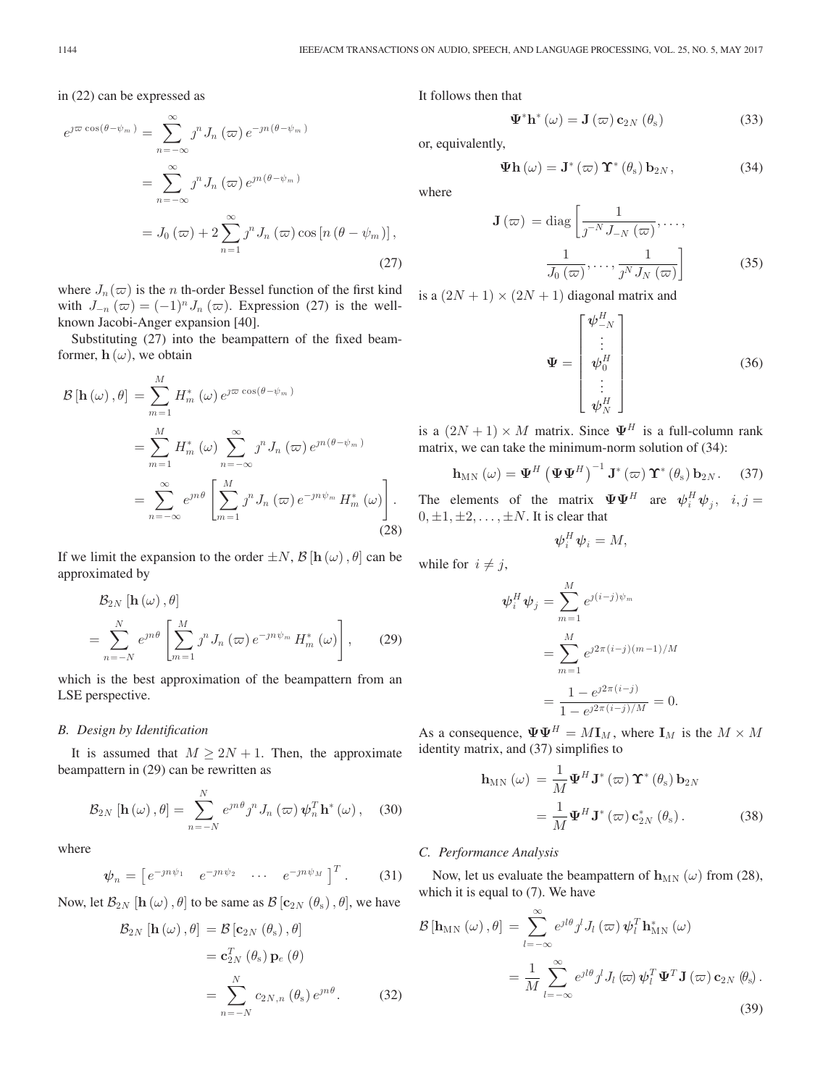in (22) can be expressed as

$$
e^{j\varpi \cos(\theta - \psi_m)} = \sum_{n = -\infty}^{\infty} j^n J_n(\varpi) e^{-jn(\theta - \psi_m)}
$$
  
= 
$$
\sum_{n = -\infty}^{\infty} j^n J_n(\varpi) e^{jn(\theta - \psi_m)}
$$
  
= 
$$
J_0(\varpi) + 2 \sum_{n = 1}^{\infty} j^n J_n(\varpi) \cos[n(\theta - \psi_m)],
$$
 (27)

where  $J_n(\varpi)$  is the *n* th-order Bessel function of the first kind with  $J_{-n}(\varpi) = (-1)^n J_n(\varpi)$ . Expression (27) is the wellknown Jacobi-Anger expansion [40].

Substituting (27) into the beampattern of the fixed beamformer,  $\mathbf{h}(\omega)$ , we obtain

$$
\mathcal{B}\left[\mathbf{h}\left(\omega\right),\theta\right] = \sum_{m=1}^{M} H_{m}^{*}\left(\omega\right) e^{j\omega \cos\left(\theta-\psi_{m}\right)}
$$
\n
$$
= \sum_{m=1}^{M} H_{m}^{*}\left(\omega\right) \sum_{n=-\infty}^{\infty} j^{n} J_{n}\left(\omega\right) e^{j n\left(\theta-\psi_{m}\right)}
$$
\n
$$
= \sum_{n=-\infty}^{\infty} e^{j n \theta} \left[\sum_{m=1}^{M} j^{n} J_{n}\left(\omega\right) e^{-j n \psi_{m}} H_{m}^{*}\left(\omega\right)\right].
$$
\n(28)

If we limit the expansion to the order  $\pm N$ ,  $\mathcal{B}$  [**h** ( $\omega$ ),  $\theta$ ] can be approximated by

$$
\mathcal{B}_{2N} \left[ \mathbf{h} \left( \omega \right), \theta \right]
$$
  
= 
$$
\sum_{n=-N}^{N} e^{jn\theta} \left[ \sum_{m=1}^{M} \int_{n}^{n} J_{n} \left( \varpi \right) e^{-jn\psi_{m}} H_{m}^{*} \left( \omega \right) \right],
$$
 (29)

which is the best approximation of the beampattern from an LSE perspective.

## *B. Design by Identification*

It is assumed that  $M \geq 2N + 1$ . Then, the approximate beampattern in (29) can be rewritten as

$$
\mathcal{B}_{2N}\left[\mathbf{h}\left(\omega\right),\theta\right]=\sum_{n=-N}^{N}e^{jn\theta}j^{n}J_{n}\left(\varpi\right)\psi_{n}^{T}\mathbf{h}^{*}\left(\omega\right),\quad(30)
$$

where

$$
\boldsymbol{\psi}_n = \begin{bmatrix} e^{-jn\psi_1} & e^{-jn\psi_2} & \cdots & e^{-jn\psi_M} \end{bmatrix}^T. \tag{31}
$$

Now, let  $\mathcal{B}_{2N}$  [**h**  $(\omega)$ ,  $\theta$ ] to be same as  $\mathcal{B}$  [**c**<sub>2N</sub>  $(\theta_s)$ ,  $\theta$ ], we have

$$
\mathcal{B}_{2N} \left[ \mathbf{h} \left( \omega \right), \theta \right] = \mathcal{B} \left[ \mathbf{c}_{2N} \left( \theta_{s} \right), \theta \right] \n= \mathbf{c}_{2N}^{T} \left( \theta_{s} \right) \mathbf{p}_{e} \left( \theta \right) \n= \sum_{n=-N}^{N} c_{2N,n} \left( \theta_{s} \right) e^{jn\theta}.
$$
\n(32)

It follows then that

$$
\mathbf{\Psi}^* \mathbf{h}^* \left( \omega \right) = \mathbf{J} \left( \varpi \right) \mathbf{c}_{2N} \left( \theta_{\mathrm{s}} \right) \tag{33}
$$

or, equivalently,

$$
\mathbf{\Psi} \mathbf{h} \left( \omega \right) = \mathbf{J}^* \left( \varpi \right) \mathbf{\Upsilon}^* \left( \theta_{\rm s} \right) \mathbf{b}_{2N}, \tag{34}
$$

where

$$
\mathbf{J}(\varpi) = \text{diag}\left[\frac{1}{\jmath^{-N} J_{-N}(\varpi)}, \dots, \frac{1}{J_0(\varpi)}, \dots, \frac{1}{J_0(\varpi)}, \dots, \frac{1}{J^N J_N(\varpi)}\right]
$$
(35)

is a  $(2N + 1) \times (2N + 1)$  diagonal matrix and

$$
\Psi = \begin{bmatrix} \psi_{-N}^{H} \\ \vdots \\ \psi_{0}^{H} \\ \vdots \\ \psi_{N}^{H} \end{bmatrix}
$$
 (36)

is a  $(2N + 1) \times M$  matrix. Since  $\Psi^H$  is a full-column rank matrix, we can take the minimum-norm solution of (34):

$$
\mathbf{h}_{MN}(\omega) = \mathbf{\Psi}^H \left(\mathbf{\Psi} \mathbf{\Psi}^H\right)^{-1} \mathbf{J}^* \left(\varpi\right) \mathbf{\Upsilon}^* \left(\theta_{\rm s}\right) \mathbf{b}_{2N}. \tag{37}
$$

The elements of the matrix  $\Psi \Psi^H$  are  $\psi_i^H \psi_i$ ,  $i, j =$  $0, \pm 1, \pm 2, \ldots, \pm N$ . It is clear that

$$
\boldsymbol{\psi}_i^H \boldsymbol{\psi}_i = M,
$$

while for  $i \neq j$ ,

$$
\psi_i^H \psi_j = \sum_{m=1}^M e^{j(i-j)\psi_m}
$$
  
= 
$$
\sum_{m=1}^M e^{j2\pi(i-j)(m-1)/M}
$$
  
= 
$$
\frac{1 - e^{j2\pi(i-j)}}{1 - e^{j2\pi(i-j)/M}} = 0.
$$

As a consequence,  $\Psi \Psi^H = M \mathbf{I}_M$ , where  $\mathbf{I}_M$  is the  $M \times M$ identity matrix, and (37) simplifies to

$$
\mathbf{h}_{MN}(\omega) = \frac{1}{M} \mathbf{\Psi}^H \mathbf{J}^* (\omega) \mathbf{\Upsilon}^* (\theta_s) \mathbf{b}_{2N}
$$

$$
= \frac{1}{M} \mathbf{\Psi}^H \mathbf{J}^* (\omega) \mathbf{c}_{2N}^* (\theta_s).
$$
 (38)

## *C. Performance Analysis*

Now, let us evaluate the beampattern of  $h_{MN}(\omega)$  from (28), which it is equal to (7). We have

$$
\mathcal{B}[\mathbf{h}_{\text{MN}}(\omega), \theta] = \sum_{l=-\infty}^{\infty} e^{jl\theta} j^l J_l(\omega) \psi_l^T \mathbf{h}_{\text{MN}}^*(\omega)
$$

$$
= \frac{1}{M} \sum_{l=-\infty}^{\infty} e^{jl\theta} j^l J_l(\omega) \psi_l^T \mathbf{\Psi}^T \mathbf{J}(\omega) \mathbf{c}_{2N}(\theta_s).
$$
(39)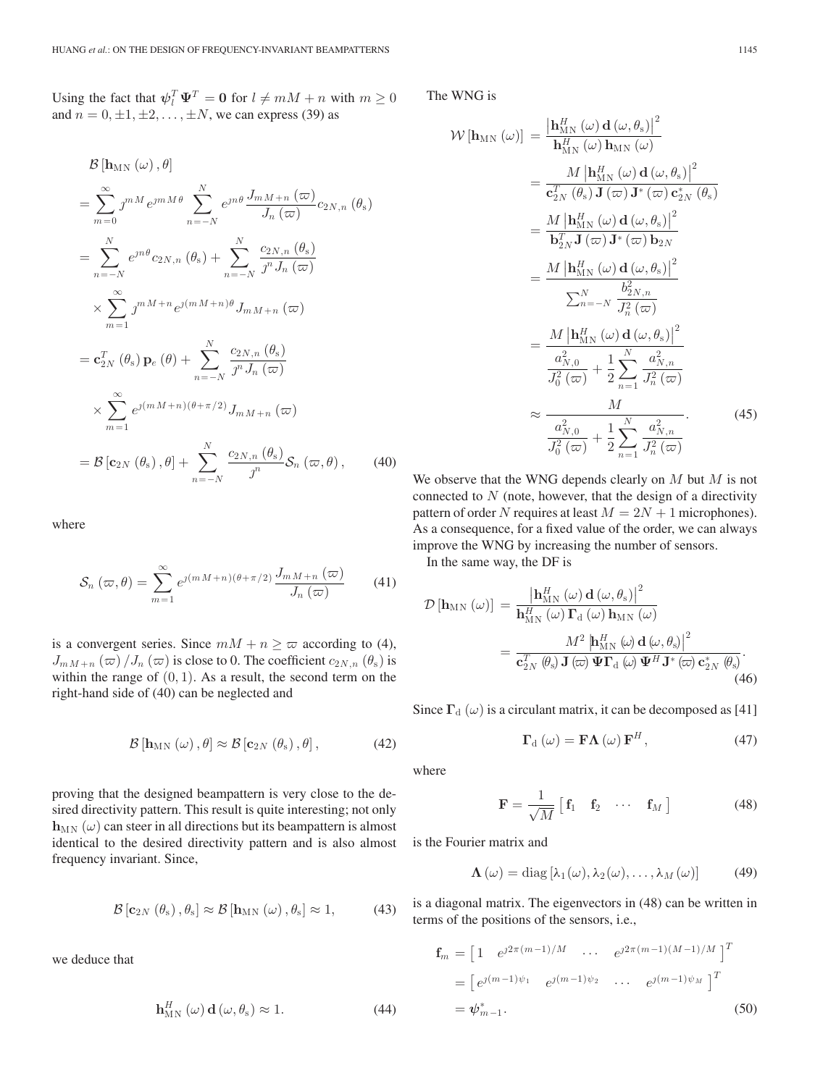Using the fact that  $\psi_l^T \Psi^T = 0$  for  $l \neq mM + n$  with  $m \geq 0$ and  $n = 0, \pm 1, \pm 2, \ldots, \pm N$ , we can express (39) as

$$
\mathcal{B}[\mathbf{h}_{\text{MN}}(\omega), \theta]
$$
\n
$$
= \sum_{m=0}^{\infty} j^{mM} e^{jmM\theta} \sum_{n=-N}^{N} e^{jn\theta} \frac{J_{mM+n}(\omega)}{J_n(\omega)} c_{2N,n}(\theta_s)
$$
\n
$$
= \sum_{n=-N}^{N} e^{jn\theta} c_{2N,n}(\theta_s) + \sum_{n=-N}^{N} \frac{c_{2N,n}(\theta_s)}{j^n J_n(\omega)}
$$
\n
$$
\times \sum_{m=1}^{\infty} j^{mM+n} e^{j(mM+n)\theta} J_{mM+n}(\omega)
$$
\n
$$
= \mathbf{c}_{2N}^T(\theta_s) \mathbf{p}_e(\theta) + \sum_{n=-N}^{N} \frac{c_{2N,n}(\theta_s)}{j^n J_n(\omega)}
$$
\n
$$
\times \sum_{m=1}^{\infty} e^{j(mM+n)(\theta + \pi/2)} J_{mM+n}(\omega)
$$
\n
$$
= \mathcal{B}[\mathbf{c}_{2N}(\theta_s), \theta] + \sum_{n=-N}^{N} \frac{c_{2N,n}(\theta_s)}{j^n} \mathcal{S}_n(\omega, \theta), \qquad (40)
$$

where

$$
S_n(\varpi,\theta) = \sum_{m=1}^{\infty} e^{\jmath(mM+n)(\theta+\pi/2)} \frac{J_{mM+n}(\varpi)}{J_n(\varpi)}
$$
(41)

is a convergent series. Since  $mM + n \geq \varpi$  according to (4),  $J_{mM+n}(\varpi) /J_n(\varpi)$  is close to 0. The coefficient  $c_{2N,n}(\theta_s)$  is within the range of  $(0, 1)$ . As a result, the second term on the right-hand side of (40) can be neglected and

$$
\mathcal{B}\left[\mathbf{h}_{\mathrm{MN}}\left(\omega\right),\theta\right] \approx \mathcal{B}\left[\mathbf{c}_{2N}\left(\theta_{\mathrm{s}}\right),\theta\right],\tag{42}
$$

proving that the designed beampattern is very close to the desired directivity pattern. This result is quite interesting; not only  $h_{MN}(\omega)$  can steer in all directions but its beampattern is almost identical to the desired directivity pattern and is also almost frequency invariant. Since,

$$
\mathcal{B}\left[\mathbf{c}_{2N}\left(\theta_{\mathrm{s}}\right),\theta_{\mathrm{s}}\right] \approx \mathcal{B}\left[\mathbf{h}_{\mathrm{MN}}\left(\omega\right),\theta_{\mathrm{s}}\right] \approx 1,\tag{43}
$$

we deduce that

$$
\mathbf{h}_{MN}^{H}(\omega) \mathbf{d}(\omega, \theta_{s}) \approx 1.
$$
 (44)

The WNG is

$$
\mathcal{W}[\mathbf{h}_{\text{MN}}(\omega)] = \frac{|\mathbf{h}_{\text{MN}}^{H}(\omega) \mathbf{d}(\omega, \theta_{\text{s}})|^{2}}{\mathbf{h}_{\text{MN}}^{H}(\omega) \mathbf{h}_{\text{MN}}(\omega)}
$$
  
\n
$$
= \frac{M |\mathbf{h}_{\text{MN}}^{H}(\omega) \mathbf{d}(\omega, \theta_{\text{s}})|^{2}}{\mathbf{c}_{2N}^{T}(\theta_{\text{s}}) \mathbf{J}(\omega) \mathbf{J}^{*}(\omega) \mathbf{c}_{2N}^{*}(\theta_{\text{s}})}
$$
  
\n
$$
= \frac{M |\mathbf{h}_{\text{MN}}^{H}(\omega) \mathbf{d}(\omega, \theta_{\text{s}})|^{2}}{\mathbf{b}_{2N}^{T} \mathbf{J}(\omega) \mathbf{J}^{*}(\omega) \mathbf{b}_{2N}}
$$
  
\n
$$
= \frac{M |\mathbf{h}_{\text{MN}}^{H}(\omega) \mathbf{d}(\omega, \theta_{\text{s}})|^{2}}{\sum_{n=-N}^{N} \frac{b_{2N,n}^{2}}{J_{n}^{2}(\omega)}}
$$
  
\n
$$
= \frac{M |\mathbf{h}_{\text{MN}}^{H}(\omega) \mathbf{d}(\omega, \theta_{\text{s}})|^{2}}{\frac{a_{N,0}^{2}}{J_{0}^{2}(\omega)} + \frac{1}{2} \sum_{n=1}^{N} \frac{a_{N,n}^{2}}{J_{n}^{2}(\omega)}}
$$
  
\n
$$
\approx \frac{M}{\frac{a_{N,0}^{2}}{J_{0}^{2}(\omega)} + \frac{1}{2} \sum_{n=1}^{N} \frac{a_{N,n}^{2}}{J_{n}^{2}(\omega)}}
$$
(45)

We observe that the WNG depends clearly on  $M$  but  $M$  is not connected to  $N$  (note, however, that the design of a directivity pattern of order N requires at least  $M = 2N + 1$  microphones). As a consequence, for a fixed value of the order, we can always improve the WNG by increasing the number of sensors.

In the same way, the DF is

$$
\mathcal{D}\left[\mathbf{h}_{\text{MN}}\left(\omega\right)\right] = \frac{\left|\mathbf{h}_{\text{MN}}^{H}\left(\omega\right)\mathbf{d}\left(\omega,\theta_{\text{s}}\right)\right|^{2}}{\mathbf{h}_{\text{MN}}^{H}\left(\omega\right)\mathbf{\Gamma}_{\text{d}}\left(\omega\right)\mathbf{h}_{\text{MN}}\left(\omega\right)} \n= \frac{M^{2}\left|\mathbf{h}_{\text{MN}}^{H}\left(\omega\right)\mathbf{d}\left(\omega,\theta_{\text{s}}\right)\right|^{2}}{\mathbf{c}_{2N}^{T}\left(\theta_{\text{s}}\right)\mathbf{J}\left(\omega\right)\mathbf{\Psi}\mathbf{\Gamma}_{\text{d}}\left(\omega\right)\mathbf{\Psi}^{H}\mathbf{J}^{*}\left(\omega\right)\mathbf{c}_{2N}^{*}\left(\theta_{\text{s}}\right)}.
$$
\n(46)

Since  $\Gamma_d$  ( $\omega$ ) is a circulant matrix, it can be decomposed as [41]

$$
\Gamma_{\rm d}(\omega) = \mathbf{F}\mathbf{\Lambda}(\omega)\,\mathbf{F}^H,\tag{47}
$$

where

$$
\mathbf{F} = \frac{1}{\sqrt{M}} \begin{bmatrix} \mathbf{f}_1 & \mathbf{f}_2 & \cdots & \mathbf{f}_M \end{bmatrix}
$$
 (48)

is the Fourier matrix and

$$
\mathbf{\Lambda}(\omega) = \text{diag}\left[\lambda_1(\omega), \lambda_2(\omega), \dots, \lambda_M(\omega)\right] \tag{49}
$$

is a diagonal matrix. The eigenvectors in (48) can be written in terms of the positions of the sensors, i.e.,

$$
\mathbf{f}_m = \begin{bmatrix} 1 & e^{j2\pi(m-1)/M} & \cdots & e^{j2\pi(m-1)(M-1)/M} \end{bmatrix}^T
$$
  
=  $\begin{bmatrix} e^{j(m-1)\psi_1} & e^{j(m-1)\psi_2} & \cdots & e^{j(m-1)\psi_M} \end{bmatrix}^T$   
=  $\psi_{m-1}^*$ . (50)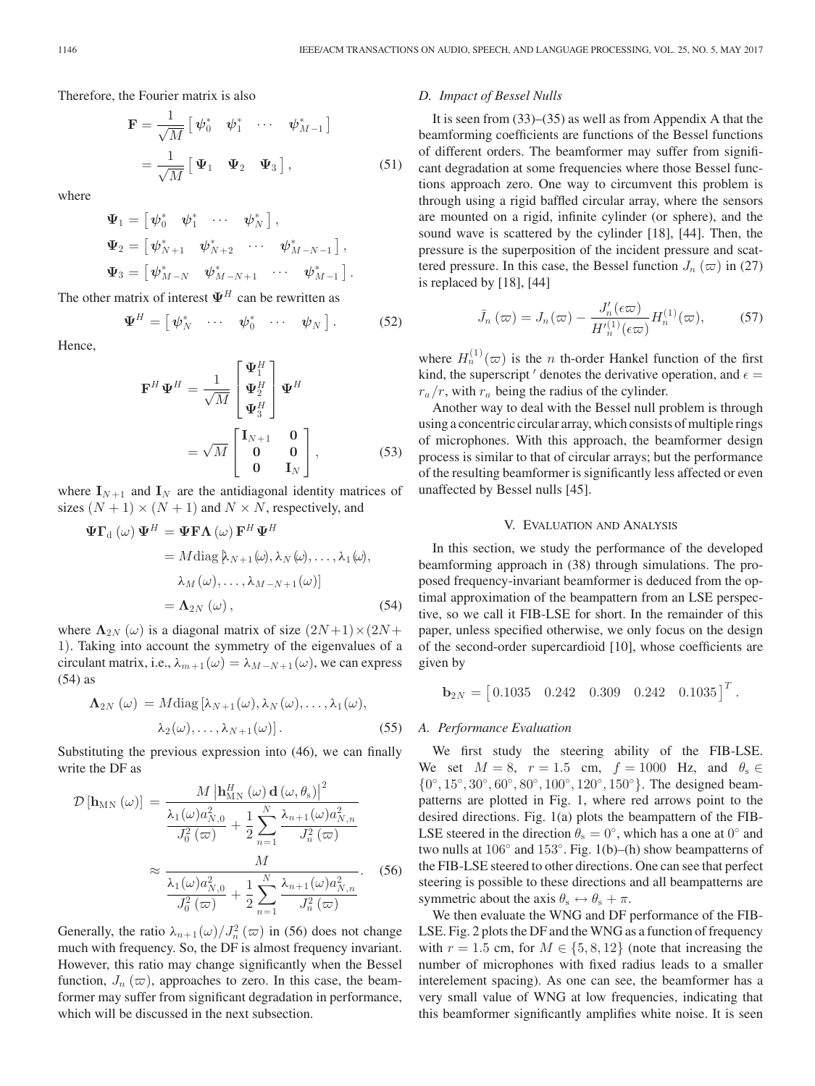Therefore, the Fourier matrix is also

$$
\mathbf{F} = \frac{1}{\sqrt{M}} \begin{bmatrix} \boldsymbol{\psi}_0^* & \boldsymbol{\psi}_1^* & \cdots & \boldsymbol{\psi}_{M-1}^* \end{bmatrix}
$$

$$
= \frac{1}{\sqrt{M}} \begin{bmatrix} \boldsymbol{\Psi}_1 & \boldsymbol{\Psi}_2 & \boldsymbol{\Psi}_3 \end{bmatrix},
$$
(51)

where

$$
\begin{aligned} \mathbf{\Psi}_1 &= \begin{bmatrix} \boldsymbol{\psi}_0^* & \boldsymbol{\psi}_1^* & \cdots & \boldsymbol{\psi}_N^* \end{bmatrix}, \\ \mathbf{\Psi}_2 &= \begin{bmatrix} \boldsymbol{\psi}_{N+1}^* & \boldsymbol{\psi}_{N+2}^* & \cdots & \boldsymbol{\psi}_{M-N-1}^* \end{bmatrix}, \\ \mathbf{\Psi}_3 &= \begin{bmatrix} \boldsymbol{\psi}_{M-N}^* & \boldsymbol{\psi}_{M-N+1}^* & \cdots & \boldsymbol{\psi}_{M-1}^* \end{bmatrix}. \end{aligned}
$$

The other matrix of interest  $\Psi^H$  can be rewritten as

$$
\mathbf{\Psi}^H = \begin{bmatrix} \boldsymbol{\psi}_N^* & \cdots & \boldsymbol{\psi}_0^* & \cdots & \boldsymbol{\psi}_N \end{bmatrix} . \tag{52}
$$

Hence,

$$
\mathbf{F}^{H} \Psi^{H} = \frac{1}{\sqrt{M}} \begin{bmatrix} \Psi_{1}^{H} \\ \Psi_{2}^{H} \\ \Psi_{3}^{H} \end{bmatrix} \Psi^{H}
$$

$$
= \sqrt{M} \begin{bmatrix} \mathbf{I}_{N+1} & \mathbf{0} \\ \mathbf{0} & \mathbf{0} \\ \mathbf{0} & \mathbf{I}_{N} \end{bmatrix}, \qquad (53)
$$

where  $I_{N+1}$  and  $I_N$  are the antidiagonal identity matrices of sizes  $(N + 1) \times (N + 1)$  and  $N \times N$ , respectively, and

$$
\Psi\Gamma_{d}(\omega)\Psi^{H} = \Psi\mathbf{F}\Lambda(\omega)\mathbf{F}^{H}\Psi^{H}
$$
  
=  $M \text{diag}[\lambda_{N+1}(\omega), \lambda_{N}(\omega), ..., \lambda_{1}(\omega),$   
 $\lambda_{M}(\omega), ..., \lambda_{M-N+1}(\omega)]$   
=  $\Lambda_{2N}(\omega),$  (54)

where  $\Lambda_{2N}(\omega)$  is a diagonal matrix of size  $(2N+1)\times(2N+1)$ 1). Taking into account the symmetry of the eigenvalues of a circulant matrix, i.e.,  $\lambda_{m+1}(\omega) = \lambda_{M-N+1}(\omega)$ , we can express (54) as

$$
\Lambda_{2N}(\omega) = M \text{diag} \left[ \lambda_{N+1}(\omega), \lambda_N(\omega), \dots, \lambda_1(\omega), \lambda_2(\omega), \dots, \lambda_{N+1}(\omega) \right].
$$
\n(55)

Substituting the previous expression into (46), we can finally write the DF as

$$
\mathcal{D}\left[\mathbf{h}_{\mathrm{MN}}\left(\omega\right)\right] = \frac{M\left|\mathbf{h}_{\mathrm{MN}}^{H}\left(\omega\right)\mathbf{d}\left(\omega,\theta_{\mathrm{s}}\right)\right|^{2}}{\frac{\lambda_{1}(\omega)a_{N,0}^{2}}{J_{0}^{2}\left(\varpi\right)} + \frac{1}{2}\sum_{n=1}^{N}\frac{\lambda_{n+1}(\omega)a_{N,n}^{2}}{J_{n}^{2}\left(\varpi\right)}}
$$
\n
$$
\approx \frac{M}{\frac{\lambda_{1}(\omega)a_{N,0}^{2}}{J_{0}^{2}\left(\varpi\right)} + \frac{1}{2}\sum_{n=1}^{N}\frac{\lambda_{n+1}(\omega)a_{N,n}^{2}}{J_{n}^{2}\left(\varpi\right)}}.\tag{56}
$$

Generally, the ratio  $\lambda_{n+1}(\omega)/J_n^2(\varpi)$  in (56) does not change much with frequency. So, the DF is almost frequency invariant. However, this ratio may change significantly when the Bessel function,  $J_n(\varpi)$ , approaches to zero. In this case, the beamformer may suffer from significant degradation in performance, which will be discussed in the next subsection.

#### *D. Impact of Bessel Nulls*

It is seen from (33)–(35) as well as from Appendix A that the beamforming coefficients are functions of the Bessel functions of different orders. The beamformer may suffer from significant degradation at some frequencies where those Bessel functions approach zero. One way to circumvent this problem is through using a rigid baffled circular array, where the sensors are mounted on a rigid, infinite cylinder (or sphere), and the sound wave is scattered by the cylinder [18], [44]. Then, the pressure is the superposition of the incident pressure and scattered pressure. In this case, the Bessel function  $J_n(\varpi)$  in (27) is replaced by [18], [44]

$$
\bar{J}_n(\varpi) = J_n(\varpi) - \frac{J'_n(\epsilon \varpi)}{H'^{(1)}_n(\epsilon \varpi)} H^{(1)}_n(\varpi), \tag{57}
$$

where  $H_n^{(1)}(\varpi)$  is the *n* th-order Hankel function of the first kind, the superscript ' denotes the derivative operation, and  $\epsilon =$  $r_a/r$ , with  $r_a$  being the radius of the cylinder.

Another way to deal with the Bessel null problem is through using a concentric circular array, which consists of multiple rings of microphones. With this approach, the beamformer design process is similar to that of circular arrays; but the performance of the resulting beamformer is significantly less affected or even unaffected by Bessel nulls [45].

#### V. EVALUATION AND ANALYSIS

In this section, we study the performance of the developed beamforming approach in (38) through simulations. The proposed frequency-invariant beamformer is deduced from the optimal approximation of the beampattern from an LSE perspective, so we call it FIB-LSE for short. In the remainder of this paper, unless specified otherwise, we only focus on the design of the second-order supercardioid [10], whose coefficients are given by

 $\mathbf{b}_{2N} = \begin{bmatrix} 0.1035 & 0.242 & 0.309 & 0.242 & 0.1035 \end{bmatrix}^T$ .

### *A. Performance Evaluation*

We first study the steering ability of the FIB-LSE. We set  $M = 8$ ,  $r = 1.5$  cm,  $f = 1000$  Hz, and  $\theta_s \in$ {0◦, 15◦, 30◦, 60◦, 80◦, 100◦, 120◦, 150◦}. The designed beampatterns are plotted in Fig. 1, where red arrows point to the desired directions. Fig. 1(a) plots the beampattern of the FIB-LSE steered in the direction  $\theta_s = 0^\circ$ , which has a one at  $0^\circ$  and two nulls at  $106°$  and  $153°$ . Fig. 1(b)–(h) show beampatterns of the FIB-LSE steered to other directions. One can see that perfect steering is possible to these directions and all beampatterns are symmetric about the axis  $\theta_s \leftrightarrow \theta_s + \pi$ .

We then evaluate the WNG and DF performance of the FIB-LSE. Fig. 2 plots the DF and the WNG as a function of frequency with  $r = 1.5$  cm, for  $M \in \{5, 8, 12\}$  (note that increasing the number of microphones with fixed radius leads to a smaller interelement spacing). As one can see, the beamformer has a very small value of WNG at low frequencies, indicating that this beamformer significantly amplifies white noise. It is seen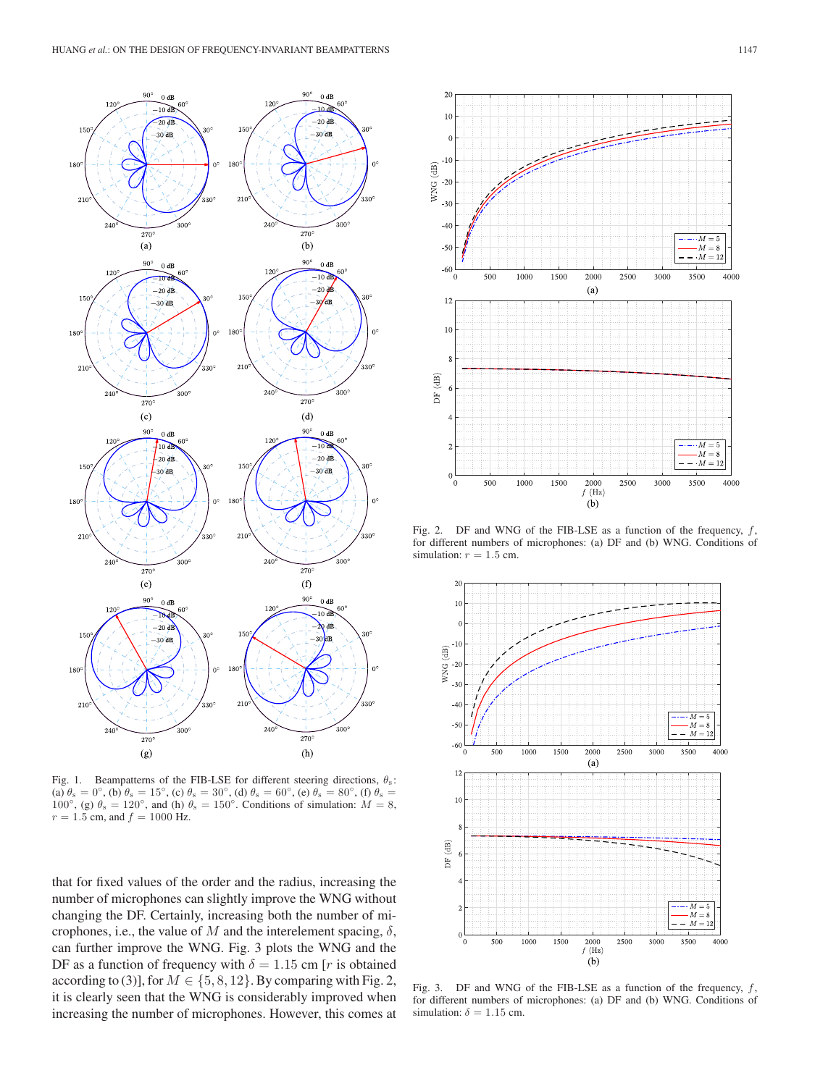

Fig. 1. Beampatterns of the FIB-LSE for different steering directions,  $\theta_s$ : (a)  $\theta_s = 0^\circ$ , (b)  $\theta_s = 15^\circ$ , (c)  $\theta_s = 30^\circ$ , (d)  $\theta_s = 60^\circ$ , (e)  $\theta_s = 80^\circ$ , (f)  $\theta_s =$ 100°, (g)  $\theta_s = 120$ °, and (h)  $\theta_s = 150$ °. Conditions of simulation:  $M = 8$ ,  $r = 1.5$  cm, and  $f = 1000$  Hz.

that for fixed values of the order and the radius, increasing the number of microphones can slightly improve the WNG without changing the DF. Certainly, increasing both the number of microphones, i.e., the value of M and the interelement spacing,  $\delta$ , can further improve the WNG. Fig. 3 plots the WNG and the DF as a function of frequency with  $\delta = 1.15$  cm [r is obtained according to (3)], for  $M \in \{5, 8, 12\}$ . By comparing with Fig. 2, it is clearly seen that the WNG is considerably improved when increasing the number of microphones. However, this comes at



Fig. 2. DF and WNG of the FIB-LSE as a function of the frequency,  $f$ , for different numbers of microphones: (a) DF and (b) WNG. Conditions of simulation:  $r = 1.5$  cm.



Fig. 3. DF and WNG of the FIB-LSE as a function of the frequency,  $f$ , for different numbers of microphones: (a) DF and (b) WNG. Conditions of simulation:  $\delta = 1.15$  cm.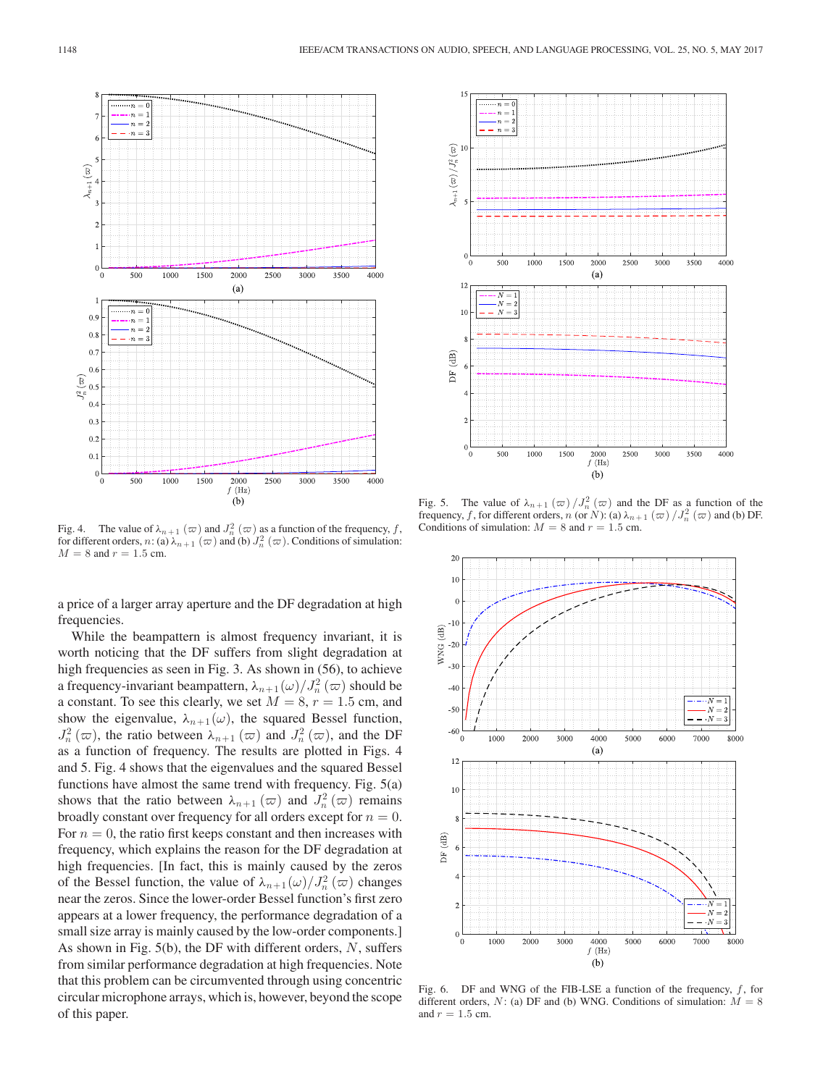

Fig. 4. The value of  $\lambda_{n+1} (\varpi)$  and  $J_n^2 (\varpi)$  as a function of the frequency, f, for different orders, n: (a)  $\lambda_{n+1} (\varpi)$  and (b)  $J_n^2 (\varpi)$ . Conditions of simulation:  $M = 8$  and  $r = 1.5$  cm.

a price of a larger array aperture and the DF degradation at high frequencies.

While the beampattern is almost frequency invariant, it is worth noticing that the DF suffers from slight degradation at high frequencies as seen in Fig. 3. As shown in (56), to achieve a frequency-invariant beampattern,  $\lambda_{n+1}(\omega)/J_n^2(\omega)$  should be a constant. To see this clearly, we set  $M = 8$ ,  $r = 1.5$  cm, and show the eigenvalue,  $\lambda_{n+1}(\omega)$ , the squared Bessel function,  $J_n^2(\varpi)$ , the ratio between  $\lambda_{n+1}(\varpi)$  and  $J_n^2(\varpi)$ , and the DF as a function of frequency. The results are plotted in Figs. 4 and 5. Fig. 4 shows that the eigenvalues and the squared Bessel functions have almost the same trend with frequency. Fig. 5(a) shows that the ratio between  $\lambda_{n+1}(\varpi)$  and  $J_n^2(\varpi)$  remains broadly constant over frequency for all orders except for  $n = 0$ . For  $n = 0$ , the ratio first keeps constant and then increases with frequency, which explains the reason for the DF degradation at high frequencies. [In fact, this is mainly caused by the zeros of the Bessel function, the value of  $\lambda_{n+1}(\omega)/J_n^2(\omega)$  changes near the zeros. Since the lower-order Bessel function's first zero appears at a lower frequency, the performance degradation of a small size array is mainly caused by the low-order components.] As shown in Fig.  $5(b)$ , the DF with different orders, N, suffers from similar performance degradation at high frequencies. Note that this problem can be circumvented through using concentric circular microphone arrays, which is, however, beyond the scope of this paper.



Fig. 5. The value of  $\lambda_{n+1}(\varpi) / J_n^2(\varpi)$  and the DF as a function of the frequency, f, for different orders, n (or N): (a)  $\lambda_{n+1}$  ( $\varpi$ ) / $J_n^2$  ( $\varpi$ ) and (b) DF. Conditions of simulation:  $M = 8$  and  $r = 1.5$  cm.



Fig. 6. DF and WNG of the FIB-LSE a function of the frequency,  $f$ , for different orders,  $N$ : (a) DF and (b) WNG. Conditions of simulation:  $M = 8$ and  $r = 1.5$  cm.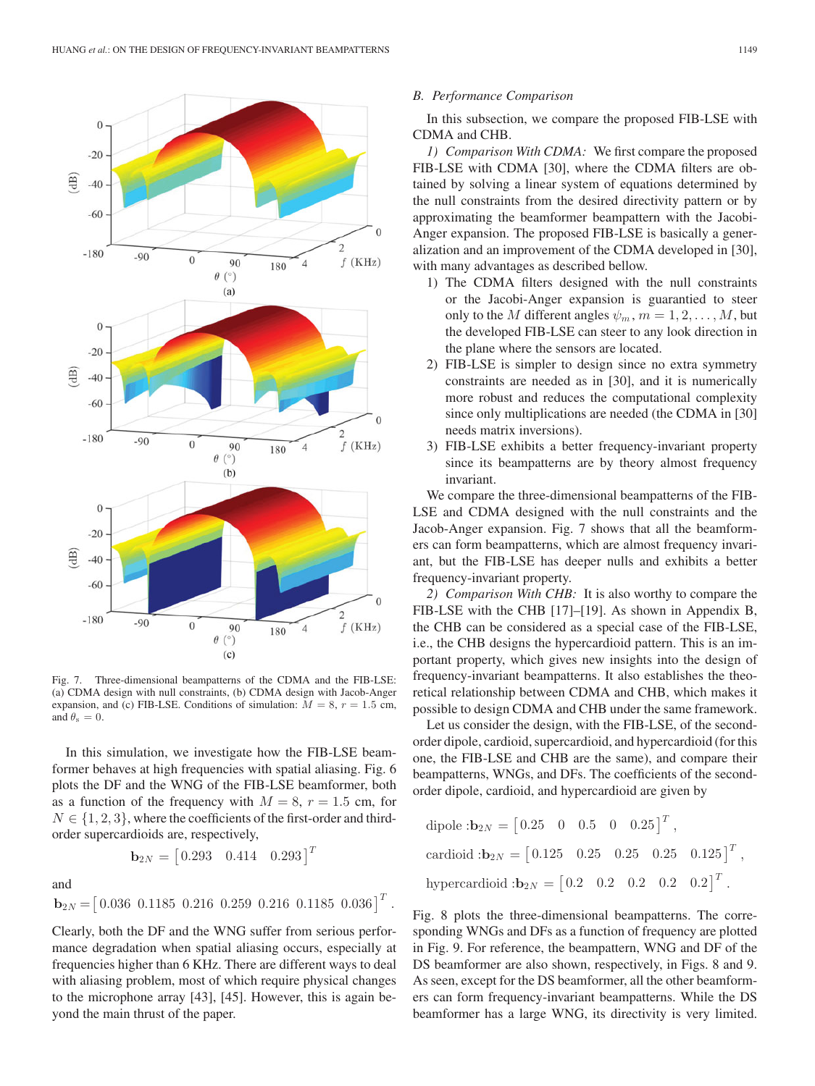

Fig. 7. Three-dimensional beampatterns of the CDMA and the FIB-LSE: (a) CDMA design with null constraints, (b) CDMA design with Jacob-Anger expansion, and (c) FIB-LSE. Conditions of simulation:  $M = 8$ ,  $r = 1.5$  cm, and  $\theta_{\rm s} = 0$ .

In this simulation, we investigate how the FIB-LSE beamformer behaves at high frequencies with spatial aliasing. Fig. 6 plots the DF and the WNG of the FIB-LSE beamformer, both as a function of the frequency with  $M = 8$ ,  $r = 1.5$  cm, for  $N \in \{1, 2, 3\}$ , where the coefficients of the first-order and thirdorder supercardioids are, respectively,

$$
\mathbf{b}_{2N} = \begin{bmatrix} 0.293 & 0.414 & 0.293 \end{bmatrix}^T
$$

and

$$
\mathbf{b}_{2N}\!=\!\begin{bmatrix}\,0.036\;\; 0.1185\;\; 0.216\;\; 0.259\;\; 0.216\;\; 0.1185\;\; 0.036\,\end{bmatrix}^T\,.
$$

Clearly, both the DF and the WNG suffer from serious performance degradation when spatial aliasing occurs, especially at frequencies higher than 6 KHz. There are different ways to deal with aliasing problem, most of which require physical changes to the microphone array [43], [45]. However, this is again beyond the main thrust of the paper.

#### *B. Performance Comparison*

In this subsection, we compare the proposed FIB-LSE with CDMA and CHB.

*1) Comparison With CDMA:* We first compare the proposed FIB-LSE with CDMA [30], where the CDMA filters are obtained by solving a linear system of equations determined by the null constraints from the desired directivity pattern or by approximating the beamformer beampattern with the Jacobi-Anger expansion. The proposed FIB-LSE is basically a generalization and an improvement of the CDMA developed in [30], with many advantages as described bellow.

- 1) The CDMA filters designed with the null constraints or the Jacobi-Anger expansion is guarantied to steer only to the M different angles  $\psi_m$ ,  $m = 1, 2, \dots, M$ , but the developed FIB-LSE can steer to any look direction in the plane where the sensors are located.
- 2) FIB-LSE is simpler to design since no extra symmetry constraints are needed as in [30], and it is numerically more robust and reduces the computational complexity since only multiplications are needed (the CDMA in [30] needs matrix inversions).
- 3) FIB-LSE exhibits a better frequency-invariant property since its beampatterns are by theory almost frequency invariant.

We compare the three-dimensional beampatterns of the FIB-LSE and CDMA designed with the null constraints and the Jacob-Anger expansion. Fig. 7 shows that all the beamformers can form beampatterns, which are almost frequency invariant, but the FIB-LSE has deeper nulls and exhibits a better frequency-invariant property.

*2) Comparison With CHB:* It is also worthy to compare the FIB-LSE with the CHB [17]–[19]. As shown in Appendix B, the CHB can be considered as a special case of the FIB-LSE, i.e., the CHB designs the hypercardioid pattern. This is an important property, which gives new insights into the design of frequency-invariant beampatterns. It also establishes the theoretical relationship between CDMA and CHB, which makes it possible to design CDMA and CHB under the same framework.

Let us consider the design, with the FIB-LSE, of the secondorder dipole, cardioid, supercardioid, and hypercardioid (for this one, the FIB-LSE and CHB are the same), and compare their beampatterns, WNGs, and DFs. The coefficients of the secondorder dipole, cardioid, and hypercardioid are given by

| dipole : $\mathbf{b}_{2N} = \begin{bmatrix} 0.25 & 0 & 0.5 & 0 & 0.25 \end{bmatrix}^T$ ,            |  |
|-----------------------------------------------------------------------------------------------------|--|
| cardioid : $\mathbf{b}_{2N} = \begin{bmatrix} 0.125 & 0.25 & 0.25 & 0.25 & 0.125 \end{bmatrix}^T$ , |  |
| hypercardioid : $\mathbf{b}_{2N} = \begin{bmatrix} 0.2 & 0.2 & 0.2 & 0.2 & 0.2 \end{bmatrix}^T$ .   |  |

Fig. 8 plots the three-dimensional beampatterns. The corresponding WNGs and DFs as a function of frequency are plotted in Fig. 9. For reference, the beampattern, WNG and DF of the DS beamformer are also shown, respectively, in Figs. 8 and 9. As seen, except for the DS beamformer, all the other beamformers can form frequency-invariant beampatterns. While the DS beamformer has a large WNG, its directivity is very limited.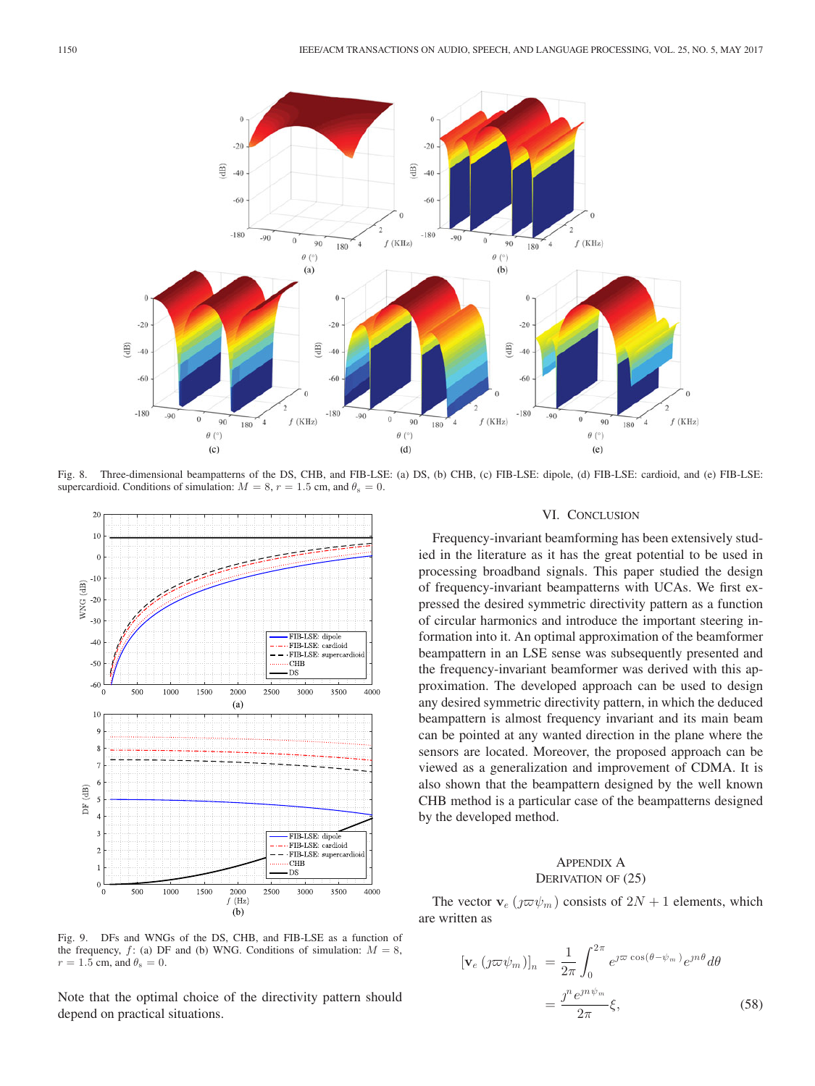

Fig. 8. Three-dimensional beampatterns of the DS, CHB, and FIB-LSE: (a) DS, (b) CHB, (c) FIB-LSE: dipole, (d) FIB-LSE: cardioid, and (e) FIB-LSE: supercardioid. Conditions of simulation:  $M = 8$ ,  $r = 1.5$  cm, and  $\theta_s = 0$ .



#### VI. CONCLUSION

Frequency-invariant beamforming has been extensively studied in the literature as it has the great potential to be used in processing broadband signals. This paper studied the design of frequency-invariant beampatterns with UCAs. We first expressed the desired symmetric directivity pattern as a function of circular harmonics and introduce the important steering information into it. An optimal approximation of the beamformer beampattern in an LSE sense was subsequently presented and the frequency-invariant beamformer was derived with this approximation. The developed approach can be used to design any desired symmetric directivity pattern, in which the deduced beampattern is almost frequency invariant and its main beam can be pointed at any wanted direction in the plane where the sensors are located. Moreover, the proposed approach can be viewed as a generalization and improvement of CDMA. It is also shown that the beampattern designed by the well known CHB method is a particular case of the beampatterns designed by the developed method.

# APPENDIX A DERIVATION OF (25)

The vector  $\mathbf{v}_e$  ( $\jmath \varpi \psi_m$ ) consists of  $2N + 1$  elements, which are written as

 $[\mathbf{v}_e (j \varpi \psi_m)]_n = \frac{1}{2\pi}$  $\int^{2\pi}$  $\theta$  $e^{j\varpi \cos(\theta - \psi_m)}e^{jn\theta}d\theta$  $=\frac{\jmath^{n} e^{\jmath n \psi_{m}}}{2\pi} \xi,$  (58)

Fig. 9. DFs and WNGs of the DS, CHB, and FIB-LSE as a function of the frequency,  $f$ : (a) DF and (b) WNG. Conditions of simulation:  $M = 8$ ,  $r = 1.5$  cm, and  $\theta_s = 0$ .

Note that the optimal choice of the directivity pattern should depend on practical situations.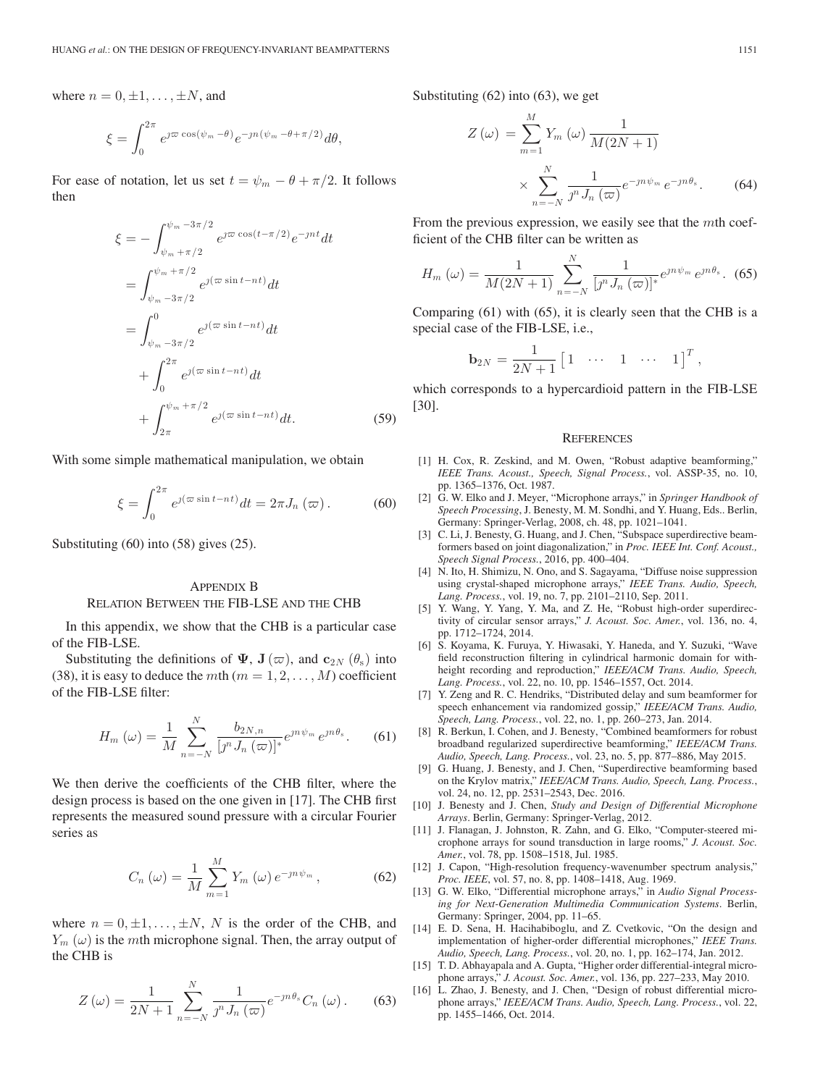where  $n = 0, \pm 1, \ldots, \pm N$ , and

$$
\xi = \int_0^{2\pi} e^{j\varpi \cos(\psi_m - \theta)} e^{-j n (\psi_m - \theta + \pi/2)} d\theta,
$$

For ease of notation, let us set  $t = \psi_m - \theta + \pi/2$ . It follows then

$$
\xi = -\int_{\psi_m + \pi/2}^{\psi_m - 3\pi/2} e^{j\varpi \cos(t - \pi/2)} e^{-jnt} dt \n= \int_{\psi_m - 3\pi/2}^{\psi_m + \pi/2} e^{j(\varpi \sin t - nt)} dt \n= \int_{\psi_m - 3\pi/2}^0 e^{j(\varpi \sin t - nt)} dt \n+ \int_0^{2\pi} e^{j(\varpi \sin t - nt)} dt \n+ \int_{2\pi}^{\psi_m + \pi/2} e^{j(\varpi \sin t - nt)} dt.
$$
\n(59)

With some simple mathematical manipulation, we obtain

$$
\xi = \int_0^{2\pi} e^{j(\varpi \sin t - nt)} dt = 2\pi J_n(\varpi).
$$
 (60)

Substituting (60) into (58) gives (25).

# APPENDIX B RELATION BETWEEN THE FIB-LSE AND THE CHB

In this appendix, we show that the CHB is a particular case of the FIB-LSE.

Substituting the definitions of  $\Psi$ ,  $J(\varpi)$ , and  $c_{2N}(\theta_s)$  into (38), it is easy to deduce the mth  $(m = 1, 2, \ldots, M)$  coefficient of the FIB-LSE filter:

$$
H_m(\omega) = \frac{1}{M} \sum_{n=-N}^{N} \frac{b_{2N,n}}{[j^n J_n(\varpi)]^*} e^{jn\psi_m} e^{jn\theta_s}.
$$
 (61)

We then derive the coefficients of the CHB filter, where the design process is based on the one given in [17]. The CHB first represents the measured sound pressure with a circular Fourier series as

$$
C_n(\omega) = \frac{1}{M} \sum_{m=1}^{M} Y_m(\omega) e^{-jn\psi_m}, \qquad (62)
$$

where  $n = 0, \pm 1, \ldots, \pm N$ , N is the order of the CHB, and  $Y_m(\omega)$  is the mth microphone signal. Then, the array output of the CHB is

$$
Z(\omega) = \frac{1}{2N+1} \sum_{n=-N}^{N} \frac{1}{j^n J_n(\varpi)} e^{-jn\theta_s} C_n(\omega). \tag{63}
$$

Substituting (62) into (63), we get

$$
Z(\omega) = \sum_{m=1}^{M} Y_m(\omega) \frac{1}{M(2N+1)}
$$

$$
\times \sum_{n=-N}^{N} \frac{1}{j^n J_n(\varpi)} e^{-jn\psi_m} e^{-jn\theta_s}.
$$
(64)

From the previous expression, we easily see that the mth coefficient of the CHB filter can be written as

$$
H_m(\omega) = \frac{1}{M(2N+1)} \sum_{n=-N}^{N} \frac{1}{[j^n J_n(\varpi)]^*} e^{jn\psi_m} e^{jn\theta_s}.
$$
 (65)

Comparing (61) with (65), it is clearly seen that the CHB is a special case of the FIB-LSE, i.e.,

$$
\mathbf{b}_{2N} = \frac{1}{2N+1} \begin{bmatrix} 1 & \cdots & 1 & \cdots & 1 \end{bmatrix}^T,
$$

which corresponds to a hypercardioid pattern in the FIB-LSE [30].

#### **REFERENCES**

- [1] H. Cox, R. Zeskind, and M. Owen, "Robust adaptive beamforming," *IEEE Trans. Acoust., Speech, Signal Process.*, vol. ASSP-35, no. 10, pp. 1365–1376, Oct. 1987.
- [2] G. W. Elko and J. Meyer, "Microphone arrays," in *Springer Handbook of Speech Processing*, J. Benesty, M. M. Sondhi, and Y. Huang, Eds.. Berlin, Germany: Springer-Verlag, 2008, ch. 48, pp. 1021–1041.
- [3] C. Li, J. Benesty, G. Huang, and J. Chen, "Subspace superdirective beamformers based on joint diagonalization," in *Proc. IEEE Int. Conf. Acoust., Speech Signal Process.*, 2016, pp. 400–404.
- [4] N. Ito, H. Shimizu, N. Ono, and S. Sagayama, "Diffuse noise suppression using crystal-shaped microphone arrays," *IEEE Trans. Audio, Speech, Lang. Process.*, vol. 19, no. 7, pp. 2101–2110, Sep. 2011.
- [5] Y. Wang, Y. Yang, Y. Ma, and Z. He, "Robust high-order superdirectivity of circular sensor arrays," *J. Acoust. Soc. Amer.*, vol. 136, no. 4, pp. 1712–1724, 2014.
- [6] S. Koyama, K. Furuya, Y. Hiwasaki, Y. Haneda, and Y. Suzuki, "Wave field reconstruction filtering in cylindrical harmonic domain for withheight recording and reproduction," *IEEE/ACM Trans. Audio, Speech, Lang. Process.*, vol. 22, no. 10, pp. 1546–1557, Oct. 2014.
- [7] Y. Zeng and R. C. Hendriks, "Distributed delay and sum beamformer for speech enhancement via randomized gossip," *IEEE/ACM Trans. Audio, Speech, Lang. Process.*, vol. 22, no. 1, pp. 260–273, Jan. 2014.
- [8] R. Berkun, I. Cohen, and J. Benesty, "Combined beamformers for robust broadband regularized superdirective beamforming," *IEEE/ACM Trans. Audio, Speech, Lang. Process.*, vol. 23, no. 5, pp. 877–886, May 2015.
- [9] G. Huang, J. Benesty, and J. Chen, "Superdirective beamforming based on the Krylov matrix," *IEEE/ACM Trans. Audio, Speech, Lang. Process.*, vol. 24, no. 12, pp. 2531–2543, Dec. 2016.
- [10] J. Benesty and J. Chen, *Study and Design of Differential Microphone Arrays*. Berlin, Germany: Springer-Verlag, 2012.
- [11] J. Flanagan, J. Johnston, R. Zahn, and G. Elko, "Computer-steered microphone arrays for sound transduction in large rooms," *J. Acoust. Soc. Amer.*, vol. 78, pp. 1508–1518, Jul. 1985.
- [12] J. Capon, "High-resolution frequency-wavenumber spectrum analysis," *Proc. IEEE*, vol. 57, no. 8, pp. 1408–1418, Aug. 1969.
- [13] G. W. Elko, "Differential microphone arrays," in *Audio Signal Processing for Next-Generation Multimedia Communication Systems*. Berlin, Germany: Springer, 2004, pp. 11–65.
- [14] E. D. Sena, H. Hacihabiboglu, and Z. Cvetkovic, "On the design and implementation of higher-order differential microphones," *IEEE Trans. Audio, Speech, Lang. Process.*, vol. 20, no. 1, pp. 162–174, Jan. 2012.
- [15] T. D. Abhayapala and A. Gupta, "Higher order differential-integral microphone arrays," *J. Acoust. Soc. Amer.*, vol. 136, pp. 227–233, May 2010.
- [16] L. Zhao, J. Benesty, and J. Chen, "Design of robust differential microphone arrays," *IEEE/ACM Trans. Audio, Speech, Lang. Process.*, vol. 22, pp. 1455–1466, Oct. 2014.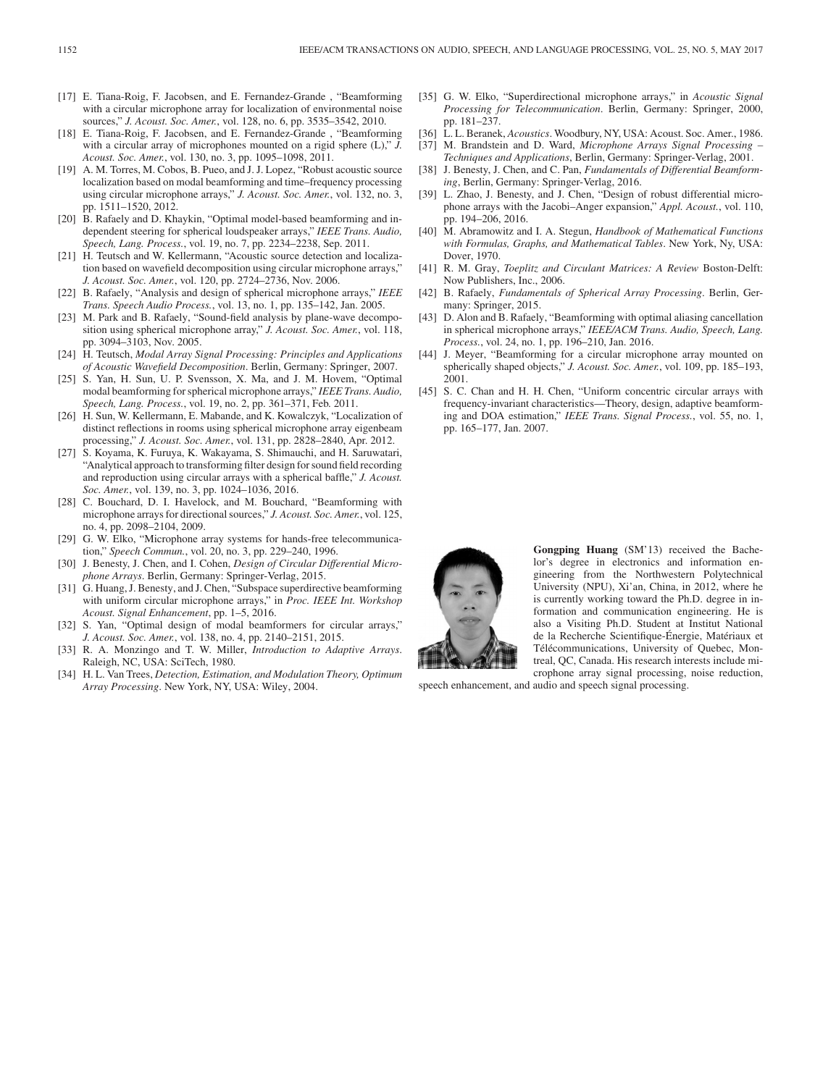- [17] E. Tiana-Roig, F. Jacobsen, and E. Fernandez-Grande , "Beamforming with a circular microphone array for localization of environmental noise sources," *J. Acoust. Soc. Amer.*, vol. 128, no. 6, pp. 3535–3542, 2010.
- [18] E. Tiana-Roig, F. Jacobsen, and E. Fernandez-Grande , "Beamforming with a circular array of microphones mounted on a rigid sphere (L)," *J. Acoust. Soc. Amer.*, vol. 130, no. 3, pp. 1095–1098, 2011.
- [19] A. M. Torres, M. Cobos, B. Pueo, and J. J. Lopez, "Robust acoustic source localization based on modal beamforming and time–frequency processing using circular microphone arrays," *J. Acoust. Soc. Amer.*, vol. 132, no. 3, pp. 1511–1520, 2012.
- [20] B. Rafaely and D. Khaykin, "Optimal model-based beamforming and independent steering for spherical loudspeaker arrays," *IEEE Trans. Audio, Speech, Lang. Process.*, vol. 19, no. 7, pp. 2234–2238, Sep. 2011.
- [21] H. Teutsch and W. Kellermann, "Acoustic source detection and localization based on wavefield decomposition using circular microphone arrays," *J. Acoust. Soc. Amer.*, vol. 120, pp. 2724–2736, Nov. 2006.
- [22] B. Rafaely, "Analysis and design of spherical microphone arrays," *IEEE Trans. Speech Audio Process.*, vol. 13, no. 1, pp. 135–142, Jan. 2005.
- [23] M. Park and B. Rafaely, "Sound-field analysis by plane-wave decomposition using spherical microphone array," *J. Acoust. Soc. Amer.*, vol. 118, pp. 3094–3103, Nov. 2005.
- [24] H. Teutsch, *Modal Array Signal Processing: Principles and Applications of Acoustic Wavefield Decomposition*. Berlin, Germany: Springer, 2007.
- [25] S. Yan, H. Sun, U. P. Svensson, X. Ma, and J. M. Hovem, "Optimal modal beamforming for spherical microphone arrays," *IEEE Trans. Audio, Speech, Lang. Process.*, vol. 19, no. 2, pp. 361–371, Feb. 2011.
- [26] H. Sun, W. Kellermann, E. Mabande, and K. Kowalczyk, "Localization of distinct reflections in rooms using spherical microphone array eigenbeam processing," *J. Acoust. Soc. Amer.*, vol. 131, pp. 2828–2840, Apr. 2012.
- [27] S. Koyama, K. Furuya, K. Wakayama, S. Shimauchi, and H. Saruwatari, "Analytical approach to transforming filter design for sound field recording and reproduction using circular arrays with a spherical baffle," *J. Acoust. Soc. Amer.*, vol. 139, no. 3, pp. 1024–1036, 2016.
- [28] C. Bouchard, D. I. Havelock, and M. Bouchard, "Beamforming with microphone arrays for directional sources," *J. Acoust. Soc. Amer.*, vol. 125, no. 4, pp. 2098–2104, 2009.
- [29] G. W. Elko, "Microphone array systems for hands-free telecommunication," *Speech Commun.*, vol. 20, no. 3, pp. 229–240, 1996.
- [30] J. Benesty, J. Chen, and I. Cohen, *Design of Circular Differential Microphone Arrays*. Berlin, Germany: Springer-Verlag, 2015.
- [31] G. Huang, J. Benesty, and J. Chen, "Subspace superdirective beamforming with uniform circular microphone arrays," in *Proc. IEEE Int. Workshop Acoust. Signal Enhancement*, pp. 1–5, 2016.
- [32] S. Yan, "Optimal design of modal beamformers for circular arrays," *J. Acoust. Soc. Amer.*, vol. 138, no. 4, pp. 2140–2151, 2015.
- [33] R. A. Monzingo and T. W. Miller, *Introduction to Adaptive Arrays*. Raleigh, NC, USA: SciTech, 1980.
- [34] H. L. Van Trees, *Detection, Estimation, and Modulation Theory, Optimum Array Processing*. New York, NY, USA: Wiley, 2004.
- [35] G. W. Elko, "Superdirectional microphone arrays," in *Acoustic Signal Processing for Telecommunication*. Berlin, Germany: Springer, 2000, pp. 181–237.
- [36] L. L. Beranek, *Acoustics*. Woodbury, NY, USA: Acoust. Soc. Amer., 1986.
- [37] M. Brandstein and D. Ward, *Microphone Arrays Signal Processing – Techniques and Applications*, Berlin, Germany: Springer-Verlag, 2001.
- [38] J. Benesty, J. Chen, and C. Pan, *Fundamentals of Differential Beamforming*, Berlin, Germany: Springer-Verlag, 2016.
- [39] L. Zhao, J. Benesty, and J. Chen, "Design of robust differential microphone arrays with the Jacobi–Anger expansion," *Appl. Acoust.*, vol. 110, pp. 194–206, 2016.
- [40] M. Abramowitz and I. A. Stegun, *Handbook of Mathematical Functions with Formulas, Graphs, and Mathematical Tables*. New York, Ny, USA: Dover, 1970.
- [41] R. M. Gray, *Toeplitz and Circulant Matrices: A Review* Boston-Delft: Now Publishers, Inc., 2006.
- [42] B. Rafaely, *Fundamentals of Spherical Array Processing*. Berlin, Germany: Springer, 2015.
- [43] D. Alon and B. Rafaely, "Beamforming with optimal aliasing cancellation in spherical microphone arrays," *IEEE/ACM Trans. Audio, Speech, Lang. Process.*, vol. 24, no. 1, pp. 196–210, Jan. 2016.
- [44] J. Meyer, "Beamforming for a circular microphone array mounted on spherically shaped objects," *J. Acoust. Soc. Amer.*, vol. 109, pp. 185–193, 2001.
- [45] S. C. Chan and H. H. Chen, "Uniform concentric circular arrays with frequency-invariant characteristics—Theory, design, adaptive beamforming and DOA estimation," *IEEE Trans. Signal Process.*, vol. 55, no. 1, pp. 165–177, Jan. 2007.



**Gongping Huang** (SM'13) received the Bachelor's degree in electronics and information engineering from the Northwestern Polytechnical University (NPU), Xi'an, China, in 2012, where he is currently working toward the Ph.D. degree in information and communication engineering. He is also a Visiting Ph.D. Student at Institut National de la Recherche Scientifique-Énergie, Matériaux et Télécommunications, University of Quebec, Montreal, QC, Canada. His research interests include microphone array signal processing, noise reduction,

speech enhancement, and audio and speech signal processing.